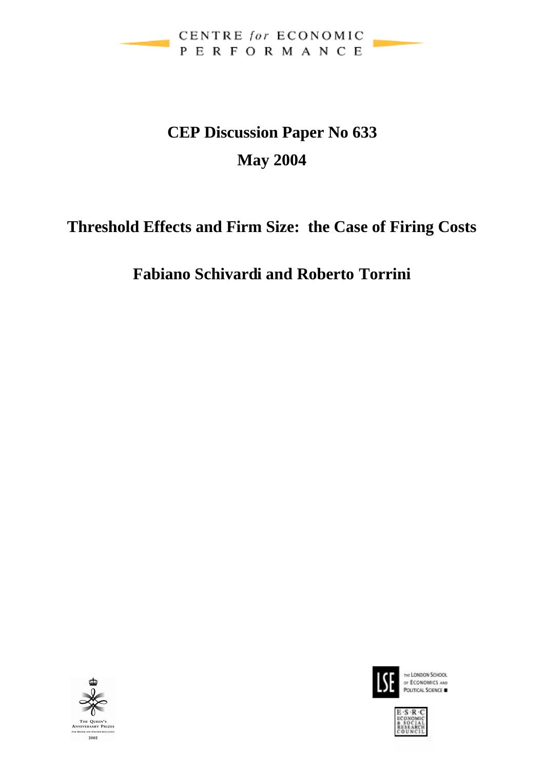

# **CEP Discussion Paper No 633 May 2004**

# **Threshold Effects and Firm Size: the Case of Firing Costs**

## **Fabiano Schivardi and Roberto Torrini**





THE LONDON SCHOOL or ECONOMICS AND POLITICAL SCIENCE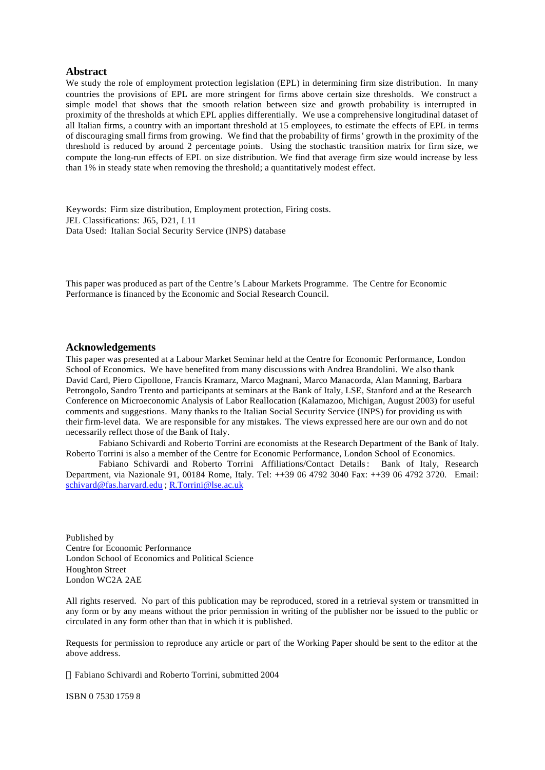#### **Abstract**

We study the role of employment protection legislation (EPL) in determining firm size distribution. In many countries the provisions of EPL are more stringent for firms above certain size thresholds. We construct a simple model that shows that the smooth relation between size and growth probability is interrupted in proximity of the thresholds at which EPL applies differentially. We use a comprehensive longitudinal dataset of all Italian firms, a country with an important threshold at 15 employees, to estimate the effects of EPL in terms of discouraging small firms from growing. We find that the probability of firms' growth in the proximity of the threshold is reduced by around 2 percentage points. Using the stochastic transition matrix for firm size, we compute the long-run effects of EPL on size distribution. We find that average firm size would increase by less than 1% in steady state when removing the threshold; a quantitatively modest effect.

Keywords: Firm size distribution, Employment protection, Firing costs. JEL Classifications: J65, D21, L11 Data Used: Italian Social Security Service (INPS) database

This paper was produced as part of the Centre's Labour Markets Programme. The Centre for Economic Performance is financed by the Economic and Social Research Council.

#### **Acknowledgements**

This paper was presented at a Labour Market Seminar held at the Centre for Economic Performance, London School of Economics. We have benefited from many discussions with Andrea Brandolini. We also thank David Card, Piero Cipollone, Francis Kramarz, Marco Magnani, Marco Manacorda, Alan Manning, Barbara Petrongolo, Sandro Trento and participants at seminars at the Bank of Italy, LSE, Stanford and at the Research Conference on Microeconomic Analysis of Labor Reallocation (Kalamazoo, Michigan, August 2003) for useful comments and suggestions. Many thanks to the Italian Social Security Service (INPS) for providing us with their firm-level data. We are responsible for any mistakes. The views expressed here are our own and do not necessarily reflect those of the Bank of Italy.

Fabiano Schivardi and Roberto Torrini are economists at the Research Department of the Bank of Italy. Roberto Torrini is also a member of the Centre for Economic Performance, London School of Economics.

Fabiano Schivardi and Roberto Torrini Affiliations/Contact Details: Bank of Italy, Research Department, via Nazionale 91, 00184 Rome, Italy. Tel: ++39 06 4792 3040 Fax: ++39 06 4792 3720. Email: schivard@fas.harvard.edu ; R.Torrini@lse.ac.uk

Published by Centre for Economic Performance London School of Economics and Political Science Houghton Street London WC2A 2AE

All rights reserved. No part of this publication may be reproduced, stored in a retrieval system or transmitted in any form or by any means without the prior permission in writing of the publisher nor be issued to the public or circulated in any form other than that in which it is published.

Requests for permission to reproduce any article or part of the Working Paper should be sent to the editor at the above address.

Fabiano Schivardi and Roberto Torrini, submitted 2004

ISBN 0 7530 1759 8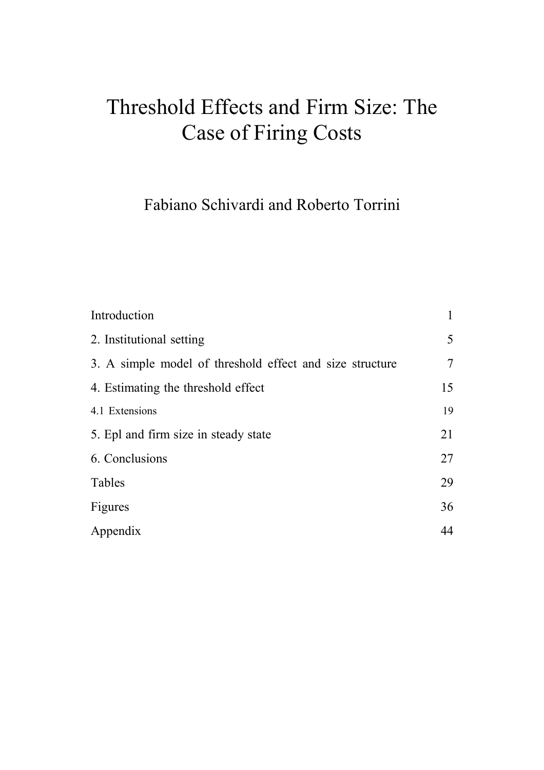# Threshold Effects and Firm Size: The Case of Firing Costs

Fabiano Schivardi and Roberto Torrini

| Introduction                                             |    |
|----------------------------------------------------------|----|
| 2. Institutional setting                                 | 5  |
| 3. A simple model of threshold effect and size structure | 7  |
| 4. Estimating the threshold effect                       | 15 |
| 4.1 Extensions                                           | 19 |
| 5. Epl and firm size in steady state                     | 21 |
| 6. Conclusions                                           | 27 |
| Tables                                                   | 29 |
| Figures                                                  | 36 |
| Appendix                                                 | 44 |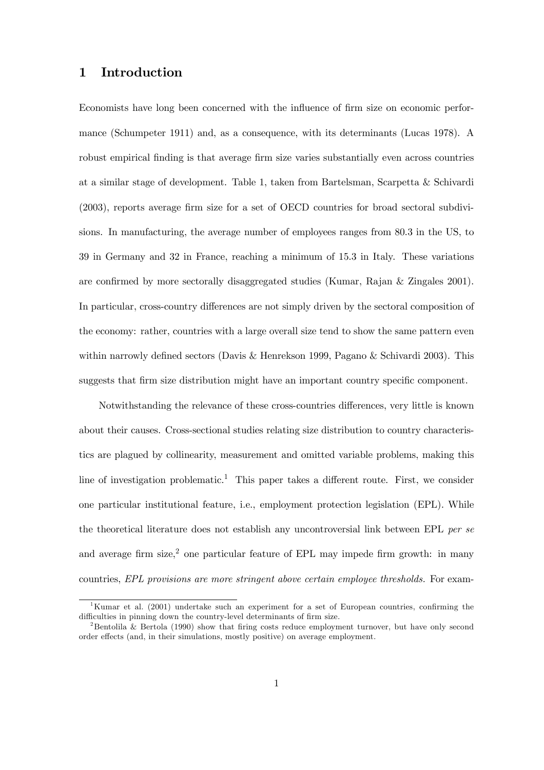#### 1 Introduction

Economists have long been concerned with the influence of firm size on economic performance (Schumpeter 1911) and, as a consequence, with its determinants (Lucas 1978). A robust empirical finding is that average firm size varies substantially even across countries at a similar stage of development. Table 1, taken from Bartelsman, Scarpetta & Schivardi (2003), reports average firm size for a set of OECD countries for broad sectoral subdivisions. In manufacturing, the average number of employees ranges from 80.3 in the US, to 39 in Germany and 32 in France, reaching a minimum of 15.3 in Italy. These variations are confirmed by more sectorally disaggregated studies (Kumar, Rajan & Zingales 2001). In particular, cross-country differences are not simply driven by the sectoral composition of the economy: rather, countries with a large overall size tend to show the same pattern even within narrowly defined sectors (Davis & Henrekson 1999, Pagano & Schivardi 2003). This suggests that firm size distribution might have an important country specific component.

Notwithstanding the relevance of these cross-countries differences, very little is known about their causes. Cross-sectional studies relating size distribution to country characteristics are plagued by collinearity, measurement and omitted variable problems, making this line of investigation problematic.<sup>1</sup> This paper takes a different route. First, we consider one particular institutional feature, i.e., employment protection legislation (EPL). While the theoretical literature does not establish any uncontroversial link between EPL per se and average firm size,<sup>2</sup> one particular feature of EPL may impede firm growth: in many countries, EPL provisions are more stringent above certain employee thresholds. For exam-

<sup>1</sup>Kumar et al. (2001) undertake such an experiment for a set of European countries, confirming the difficulties in pinning down the country-level determinants of firm size.

<sup>&</sup>lt;sup>2</sup>Bentolila & Bertola (1990) show that firing costs reduce employment turnover, but have only second order effects (and, in their simulations, mostly positive) on average employment.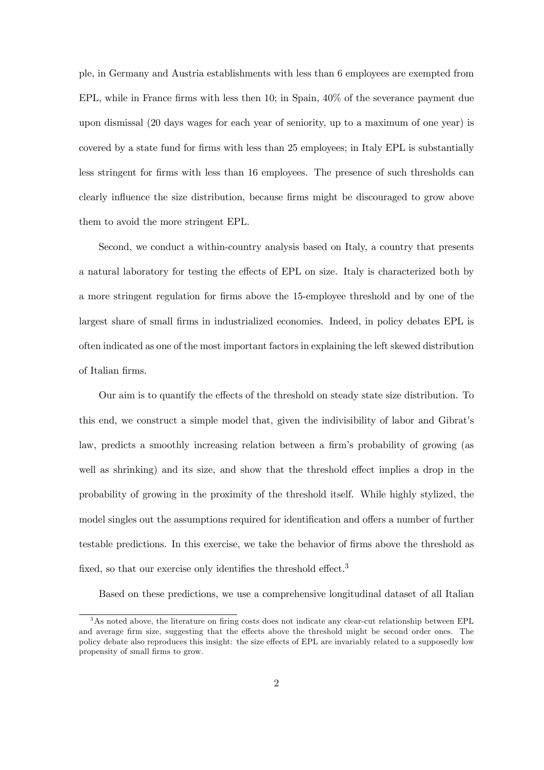ple, in Germany and Austria establishments with less than 6 employees are exempted from EPL, while in France firms with less then 10; in Spain, 40% of the severance payment due upon dismissal (20 days wages for each year of seniority, up to a maximum of one year) is covered by a state fund for firms with less than 25 employees; in Italy EPL is substantially less stringent for firms with less than 16 employees. The presence of such thresholds can clearly influence the size distribution, because firms might be discouraged to grow above them to avoid the more stringent EPL.

Second, we conduct a within-country analysis based on Italy, a country that presents a natural laboratory for testing the effects of EPL on size. Italy is characterized both by a more stringent regulation for firms above the 15-employee threshold and by one of the largest share of small firms in industrialized economies. Indeed, in policy debates EPL is often indicated as one of the most important factors in explaining the left skewed distribution of Italian firms.

Our aim is to quantify the effects of the threshold on steady state size distribution. To this end, we construct a simple model that, given the indivisibility of labor and Gibrat's law, predicts a smoothly increasing relation between a firm's probability of growing (as well as shrinking) and its size, and show that the threshold effect implies a drop in the probability of growing in the proximity of the threshold itself. While highly stylized, the model singles out the assumptions required for identification and offers a number of further testable predictions. In this exercise, we take the behavior of firms above the threshold as fixed, so that our exercise only identifies the threshold effect.<sup>3</sup>

Based on these predictions, we use a comprehensive longitudinal dataset of all Italian

<sup>3</sup>As noted above, the literature on firing costs does not indicate any clear-cut relationship between EPL and average firm size, suggesting that the effects above the threshold might be second order ones. The policy debate also reproduces this insight: the size effects of EPL are invariably related to a supposedly low propensity of small firms to grow.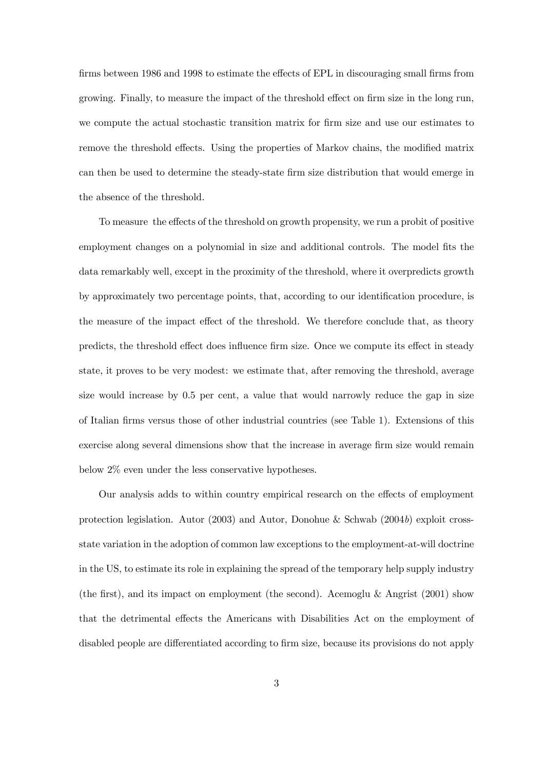firms between 1986 and 1998 to estimate the effects of EPL in discouraging small firms from growing. Finally, to measure the impact of the threshold effect on firm size in the long run, we compute the actual stochastic transition matrix for firm size and use our estimates to remove the threshold effects. Using the properties of Markov chains, the modified matrix can then be used to determine the steady-state firm size distribution that would emerge in the absence of the threshold.

To measure the effects of the threshold on growth propensity, we run a probit of positive employment changes on a polynomial in size and additional controls. The model fits the data remarkably well, except in the proximity of the threshold, where it overpredicts growth by approximately two percentage points, that, according to our identification procedure, is the measure of the impact effect of the threshold. We therefore conclude that, as theory predicts, the threshold effect does influence firm size. Once we compute its effect in steady state, it proves to be very modest: we estimate that, after removing the threshold, average size would increase by 0.5 per cent, a value that would narrowly reduce the gap in size of Italian firms versus those of other industrial countries (see Table 1). Extensions of this exercise along several dimensions show that the increase in average firm size would remain below 2% even under the less conservative hypotheses.

Our analysis adds to within country empirical research on the effects of employment protection legislation. Autor (2003) and Autor, Donohue & Schwab (2004b) exploit crossstate variation in the adoption of common law exceptions to the employment-at-will doctrine in the US, to estimate its role in explaining the spread of the temporary help supply industry (the first), and its impact on employment (the second). Acemoglu  $\&$  Angrist (2001) show that the detrimental effects the Americans with Disabilities Act on the employment of disabled people are differentiated according to firm size, because its provisions do not apply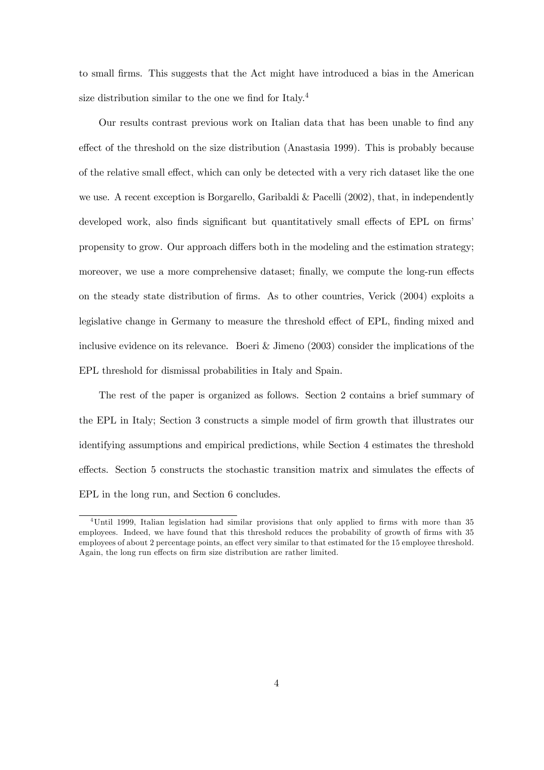to small firms. This suggests that the Act might have introduced a bias in the American size distribution similar to the one we find for Italy.4

Our results contrast previous work on Italian data that has been unable to find any effect of the threshold on the size distribution (Anastasia 1999). This is probably because of the relative small effect, which can only be detected with a very rich dataset like the one we use. A recent exception is Borgarello, Garibaldi & Pacelli (2002), that, in independently developed work, also finds significant but quantitatively small effects of EPL on firms' propensity to grow. Our approach differs both in the modeling and the estimation strategy; moreover, we use a more comprehensive dataset; finally, we compute the long-run effects on the steady state distribution of firms. As to other countries, Verick (2004) exploits a legislative change in Germany to measure the threshold effect of EPL, finding mixed and inclusive evidence on its relevance. Boeri & Jimeno (2003) consider the implications of the EPL threshold for dismissal probabilities in Italy and Spain.

The rest of the paper is organized as follows. Section 2 contains a brief summary of the EPL in Italy; Section 3 constructs a simple model of firm growth that illustrates our identifying assumptions and empirical predictions, while Section 4 estimates the threshold effects. Section 5 constructs the stochastic transition matrix and simulates the effects of EPL in the long run, and Section 6 concludes.

<sup>4</sup>Until 1999, Italian legislation had similar provisions that only applied to firms with more than 35 employees. Indeed, we have found that this threshold reduces the probability of growth of firms with 35 employees of about 2 percentage points, an effect very similar to that estimated for the 15 employee threshold. Again, the long run effects on firm size distribution are rather limited.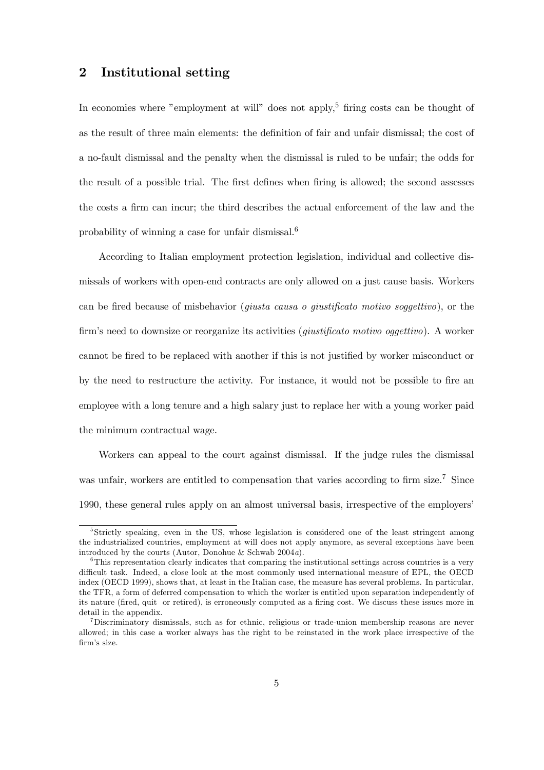#### 2 Institutional setting

In economies where "employment at will" does not apply.<sup>5</sup> firing costs can be thought of as the result of three main elements: the definition of fair and unfair dismissal; the cost of a no-fault dismissal and the penalty when the dismissal is ruled to be unfair; the odds for the result of a possible trial. The first defines when firing is allowed; the second assesses the costs a firm can incur; the third describes the actual enforcement of the law and the probability of winning a case for unfair dismissal.6

According to Italian employment protection legislation, individual and collective dismissals of workers with open-end contracts are only allowed on a just cause basis. Workers can be fired because of misbehavior (giusta causa o giustificato motivo soggettivo), or the firm's need to downsize or reorganize its activities (*giustificato motivo oggettivo*). A worker cannot be fired to be replaced with another if this is not justified by worker misconduct or by the need to restructure the activity. For instance, it would not be possible to fire an employee with a long tenure and a high salary just to replace her with a young worker paid the minimum contractual wage.

Workers can appeal to the court against dismissal. If the judge rules the dismissal was unfair, workers are entitled to compensation that varies according to firm size.<sup>7</sup> Since 1990, these general rules apply on an almost universal basis, irrespective of the employers'

<sup>&</sup>lt;sup>5</sup>Strictly speaking, even in the US, whose legislation is considered one of the least stringent among the industrialized countries, employment at will does not apply anymore, as several exceptions have been introduced by the courts (Autor, Donohue & Schwab 2004a).

<sup>&</sup>lt;sup>6</sup>This representation clearly indicates that comparing the institutional settings across countries is a very difficult task. Indeed, a close look at the most commonly used international measure of EPL, the OECD index (OECD 1999), shows that, at least in the Italian case, the measure has several problems. In particular, the TFR, a form of deferred compensation to which the worker is entitled upon separation independently of its nature (fired, quit or retired), is erroneously computed as a firing cost. We discuss these issues more in detail in the appendix.

<sup>7</sup>Discriminatory dismissals, such as for ethnic, religious or trade-union membership reasons are never allowed; in this case a worker always has the right to be reinstated in the work place irrespective of the firm's size.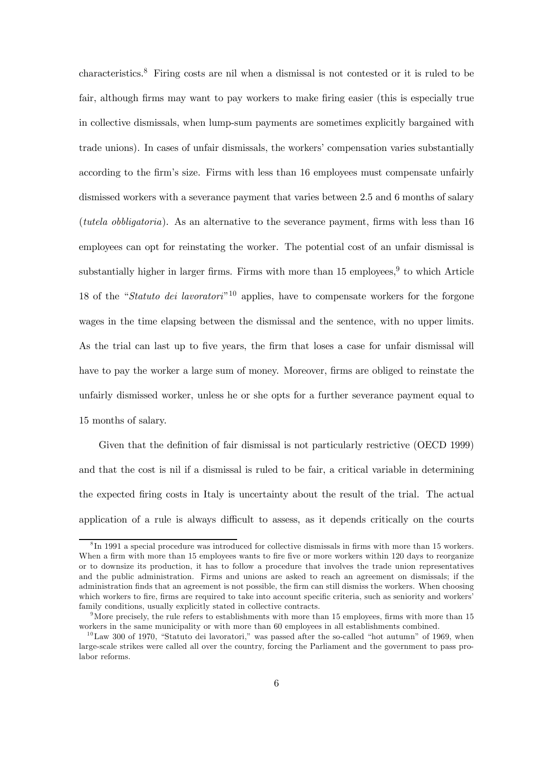characteristics.8 Firing costs are nil when a dismissal is not contested or it is ruled to be fair, although firms may want to pay workers to make firing easier (this is especially true in collective dismissals, when lump-sum payments are sometimes explicitly bargained with trade unions). In cases of unfair dismissals, the workers' compensation varies substantially according to the firm's size. Firms with less than 16 employees must compensate unfairly dismissed workers with a severance payment that varies between 2.5 and 6 months of salary (tutela obbligatoria). As an alternative to the severance payment, firms with less than 16 employees can opt for reinstating the worker. The potential cost of an unfair dismissal is substantially higher in larger firms. Firms with more than  $15 \text{ employees}^9$  to which Article 18 of the "Statuto dei lavoratori"1<sup>0</sup> applies, have to compensate workers for the forgone wages in the time elapsing between the dismissal and the sentence, with no upper limits. As the trial can last up to five years, the firm that loses a case for unfair dismissal will have to pay the worker a large sum of money. Moreover, firms are obliged to reinstate the unfairly dismissed worker, unless he or she opts for a further severance payment equal to 15 months of salary.

Given that the definition of fair dismissal is not particularly restrictive (OECD 1999) and that the cost is nil if a dismissal is ruled to be fair, a critical variable in determining the expected firing costs in Italy is uncertainty about the result of the trial. The actual application of a rule is always difficult to assess, as it depends critically on the courts

<sup>8</sup> In 1991 a special procedure was introduced for collective dismissals in firms with more than 15 workers. When a firm with more than 15 employees wants to fire five or more workers within 120 days to reorganize or to downsize its production, it has to follow a procedure that involves the trade union representatives and the public administration. Firms and unions are asked to reach an agreement on dismissals; if the administration finds that an agreement is not possible, the firm can still dismiss the workers. When choosing which workers to fire, firms are required to take into account specific criteria, such as seniority and workers' family conditions, usually explicitly stated in collective contracts.

<sup>&</sup>lt;sup>9</sup>More precisely, the rule refers to establishments with more than 15 employees, firms with more than 15 workers in the same municipality or with more than 60 employees in all establishments combined.

 $10$ Law 300 of 1970, "Statuto dei lavoratori," was passed after the so-called "hot autumn" of 1969, when large-scale strikes were called all over the country, forcing the Parliament and the government to pass prolabor reforms.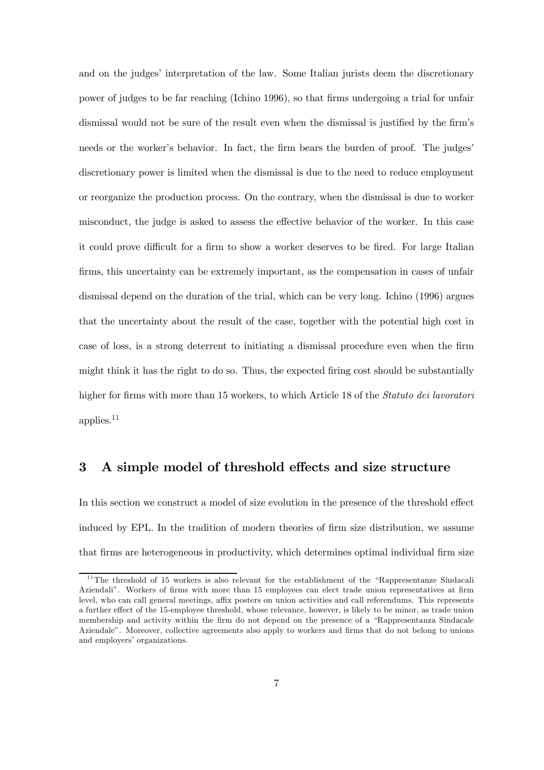and on the judges' interpretation of the law. Some Italian jurists deem the discretionary power of judges to be far reaching (Ichino 1996), so that firms undergoing a trial for unfair dismissal would not be sure of the result even when the dismissal is justified by the firm's needs or the worker's behavior. In fact, the firm bears the burden of proof. The judges' discretionary power is limited when the dismissal is due to the need to reduce employment or reorganize the production process. On the contrary, when the dismissal is due to worker misconduct, the judge is asked to assess the effective behavior of the worker. In this case it could prove difficult for a firm to show a worker deserves to be fired. For large Italian firms, this uncertainty can be extremely important, as the compensation in cases of unfair dismissal depend on the duration of the trial, which can be very long. Ichino (1996) argues that the uncertainty about the result of the case, together with the potential high cost in case of loss, is a strong deterrent to initiating a dismissal procedure even when the firm might think it has the right to do so. Thus, the expected firing cost should be substantially higher for firms with more than 15 workers, to which Article 18 of the *Statuto dei lavoratori* applies.<sup>11</sup>

#### 3 A simple model of threshold effects and size structure

In this section we construct a model of size evolution in the presence of the threshold effect induced by EPL. In the tradition of modern theories of firm size distribution, we assume that firms are heterogeneous in productivity, which determines optimal individual firm size

 $11$ The threshold of 15 workers is also relevant for the establishment of the "Rappresentanze Sindacali Aziendali". Workers of firms with more than 15 employees can elect trade union representatives at firm level, who can call general meetings, affix posters on union activities and call referendums. This represents a further effect of the 15-employee threshold, whose relevance, however, is likely to be minor, as trade union membership and activity within the firm do not depend on the presence of a "Rappresentanza Sindacale Aziendale". Moreover, collective agreements also apply to workers and firms that do not belong to unions and employers' organizations.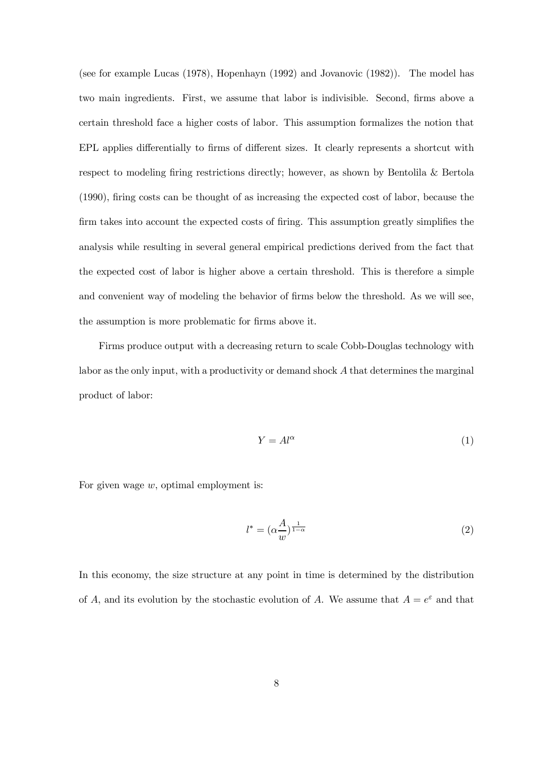(see for example Lucas (1978), Hopenhayn (1992) and Jovanovic (1982)). The model has two main ingredients. First, we assume that labor is indivisible. Second, firms above a certain threshold face a higher costs of labor. This assumption formalizes the notion that EPL applies differentially to firms of different sizes. It clearly represents a shortcut with respect to modeling firing restrictions directly; however, as shown by Bentolila & Bertola (1990), firing costs can be thought of as increasing the expected cost of labor, because the firm takes into account the expected costs of firing. This assumption greatly simplifies the analysis while resulting in several general empirical predictions derived from the fact that the expected cost of labor is higher above a certain threshold. This is therefore a simple and convenient way of modeling the behavior of firms below the threshold. As we will see, the assumption is more problematic for firms above it.

Firms produce output with a decreasing return to scale Cobb-Douglas technology with labor as the only input, with a productivity or demand shock A that determines the marginal product of labor:

$$
Y = Al^{\alpha} \tag{1}
$$

For given wage  $w$ , optimal employment is:

$$
l^* = (\alpha \frac{A}{w})^{\frac{1}{1-\alpha}}
$$
 (2)

In this economy, the size structure at any point in time is determined by the distribution of A, and its evolution by the stochastic evolution of A. We assume that  $A = e^{\varepsilon}$  and that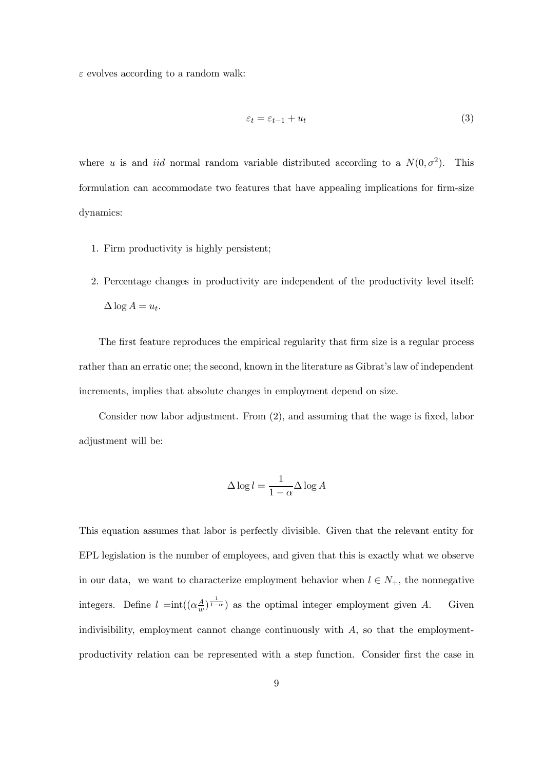$\varepsilon$  evolves according to a random walk:

$$
\varepsilon_t = \varepsilon_{t-1} + u_t \tag{3}
$$

where u is and *iid* normal random variable distributed according to a  $N(0, \sigma^2)$ . This formulation can accommodate two features that have appealing implications for firm-size dynamics:

- 1. Firm productivity is highly persistent;
- 2. Percentage changes in productivity are independent of the productivity level itself:  $\Delta \log A = u_t.$

The first feature reproduces the empirical regularity that firm size is a regular process rather than an erratic one; the second, known in the literature as Gibrat's law of independent increments, implies that absolute changes in employment depend on size.

Consider now labor adjustment. From (2), and assuming that the wage is fixed, labor adjustment will be:

$$
\Delta \log l = \frac{1}{1 - \alpha} \Delta \log A
$$

This equation assumes that labor is perfectly divisible. Given that the relevant entity for EPL legislation is the number of employees, and given that this is exactly what we observe in our data, we want to characterize employment behavior when  $l \in N_+$ , the nonnegative integers. Define  $l = \text{int}((\alpha \frac{A}{w})^{\frac{1}{1-\alpha}})$  as the optimal integer employment given A. Given indivisibility, employment cannot change continuously with  $A$ , so that the employmentproductivity relation can be represented with a step function. Consider first the case in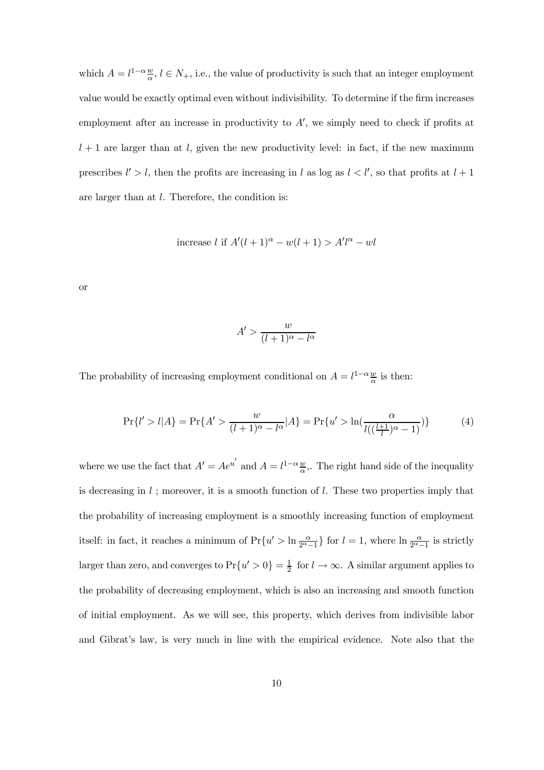which  $A = l^{1-\alpha} \frac{w}{\alpha}, l \in N_+$ , i.e., the value of productivity is such that an integer employment value would be exactly optimal even without indivisibility. To determine if the firm increases employment after an increase in productivity to  $A'$ , we simply need to check if profits at  $l + 1$  are larger than at l, given the new productivity level: in fact, if the new maximum prescribes  $l' > l$ , then the profits are increasing in l as log as  $l < l'$ , so that profits at  $l + 1$ are larger than at l. Therefore, the condition is:

increase l if  $A'(l + 1)^{\alpha} - w(l + 1) > A'l^{\alpha} - wl$ 

or

$$
A' > \frac{w}{(l+1)^{\alpha} - l^{\alpha}}
$$

The probability of increasing employment conditional on  $A = l^{1-\alpha} \frac{w}{\alpha}$  is then:

$$
\Pr\{l' > l | A\} = \Pr\{A' > \frac{w}{(l+1)^{\alpha} - l^{\alpha}} | A\} = \Pr\{u' > \ln\left(\frac{\alpha}{l\left(\frac{l+1}{l}\right)^{\alpha} - 1}\right)\}\tag{4}
$$

where we use the fact that  $A' = Ae^{u'}$  and  $A = l^{1-\alpha} \frac{w}{\alpha}$ . The right hand side of the inequality is decreasing in  $l$ ; moreover, it is a smooth function of  $l$ . These two properties imply that the probability of increasing employment is a smoothly increasing function of employment itself: in fact, it reaches a minimum of  $Pr\{u' > \ln \frac{\alpha}{2^{\alpha}-1}\}\$  for  $l=1$ , where  $\ln \frac{\alpha}{2^{\alpha}-1}$  is strictly larger than zero, and converges to  $Pr\{u' > 0\} = \frac{1}{2}$  for  $l \to \infty$ . A similar argument applies to the probability of decreasing employment, which is also an increasing and smooth function of initial employment. As we will see, this property, which derives from indivisible labor and Gibrat's law, is very much in line with the empirical evidence. Note also that the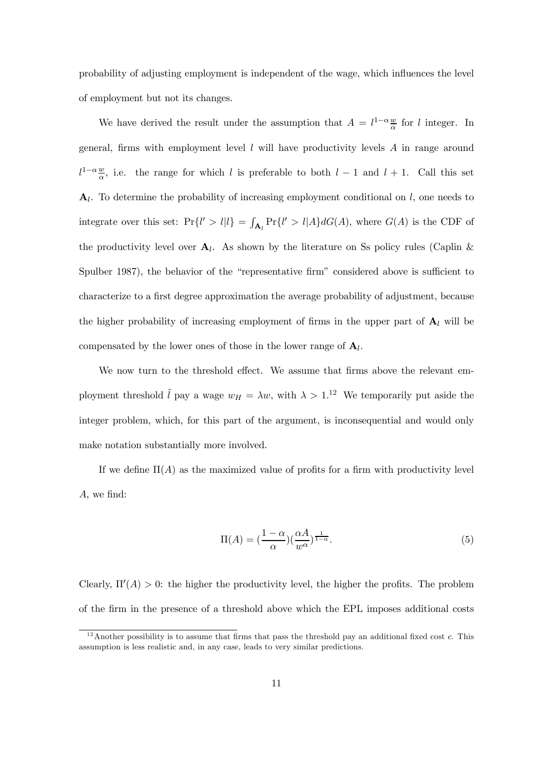probability of adjusting employment is independent of the wage, which influences the level of employment but not its changes.

We have derived the result under the assumption that  $A = l^{1-\alpha} \frac{w}{\alpha}$  for l integer. In general, firms with employment level  $l$  will have productivity levels  $A$  in range around  $l^{1-\alpha} \frac{w}{\alpha}$ , i.e. the range for which l is preferable to both  $l-1$  and  $l+1$ . Call this set  $A_l$ . To determine the probability of increasing employment conditional on  $l$ , one needs to integrate over this set:  $Pr{l' > l | l} = \int_{A_l} Pr{l' > l | A} dG(A)$ , where  $G(A)$  is the CDF of the productivity level over  $A_l$ . As shown by the literature on Ss policy rules (Caplin & Spulber 1987), the behavior of the "representative firm" considered above is sufficient to characterize to a first degree approximation the average probability of adjustment, because the higher probability of increasing employment of firms in the upper part of  $A_l$  will be compensated by the lower ones of those in the lower range of  $A_l$ .

We now turn to the threshold effect. We assume that firms above the relevant employment threshold  $\tilde{l}$  pay a wage  $w_H = \lambda w$ , with  $\lambda > 1$ .<sup>12</sup> We temporarily put aside the integer problem, which, for this part of the argument, is inconsequential and would only make notation substantially more involved.

If we define  $\Pi(A)$  as the maximized value of profits for a firm with productivity level A, we find:

$$
\Pi(A) = \left(\frac{1-\alpha}{\alpha}\right)\left(\frac{\alpha A}{w^{\alpha}}\right)^{\frac{1}{1-\alpha}}.
$$
\n(5)

Clearly,  $\Pi'(A) > 0$ : the higher the productivity level, the higher the profits. The problem of the firm in the presence of a threshold above which the EPL imposes additional costs

<sup>&</sup>lt;sup>12</sup>Another possibility is to assume that firms that pass the threshold pay an additional fixed cost c. This assumption is less realistic and, in any case, leads to very similar predictions.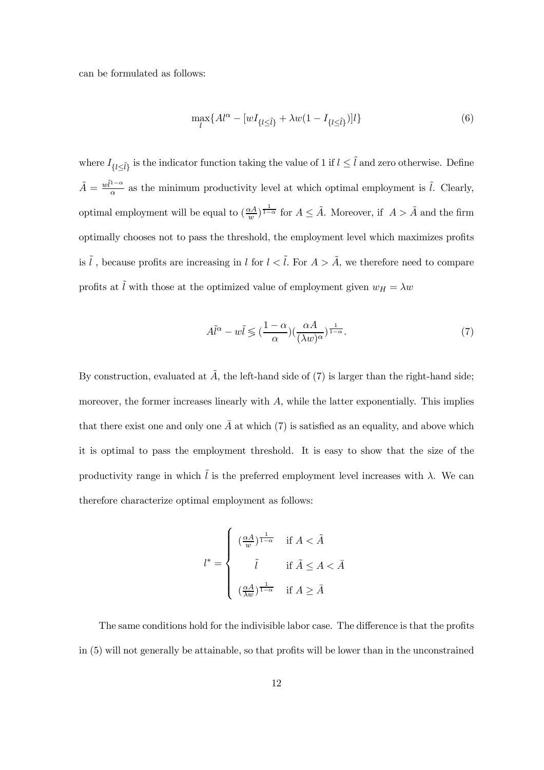can be formulated as follows:

$$
\max_{l} \{ A l^{\alpha} - [wI_{\{l \le \tilde{l}\}} + \lambda w(1 - I_{\{l \le \tilde{l}\}})]l \}
$$
\n
$$
\tag{6}
$$

where  $I_{\{l\leq \tilde{l}\}}$  is the indicator function taking the value of 1 if  $l \leq \tilde{l}$  and zero otherwise. Define  $\tilde{A} = \frac{w\tilde{l}^{1-\alpha}}{\alpha}$  as the minimum productivity level at which optimal employment is  $\tilde{l}$ . Clearly, optimal employment will be equal to  $(\frac{\alpha A}{w})^{\frac{1}{1-\alpha}}$  for  $A \leq \tilde{A}$ . Moreover, if  $A > \tilde{A}$  and the firm optimally chooses not to pass the threshold, the employment level which maximizes profits is  $\tilde{l}$ , because profits are increasing in l for  $l < \tilde{l}$ . For  $A > \tilde{A}$ , we therefore need to compare profits at  $\tilde{l}$  with those at the optimized value of employment given  $w_H = \lambda w$ 

$$
A\tilde{l}^{\alpha} - w\tilde{l} \leqslant \left(\frac{1-\alpha}{\alpha}\right) \left(\frac{\alpha A}{(\lambda w)^{\alpha}}\right)^{\frac{1}{1-\alpha}}.
$$
\n<sup>(7)</sup>

By construction, evaluated at  $\tilde{A}$ , the left-hand side of (7) is larger than the right-hand side; moreover, the former increases linearly with  $A$ , while the latter exponentially. This implies that there exist one and only one  $\overline{A}$  at which (7) is satisfied as an equality, and above which it is optimal to pass the employment threshold. It is easy to show that the size of the productivity range in which  $\tilde{l}$  is the preferred employment level increases with  $\lambda$ . We can therefore characterize optimal employment as follows:

$$
l^* = \begin{cases} \left(\frac{\alpha A}{w}\right)^{\frac{1}{1-\alpha}} & \text{if } A < \tilde{A} \\ \qquad \tilde{l} & \text{if } \tilde{A} \leq A < \bar{A} \\ \\ \left(\frac{\alpha A}{\lambda w}\right)^{\frac{1}{1-\alpha}} & \text{if } A \geq \bar{A} \end{cases}
$$

The same conditions hold for the indivisible labor case. The difference is that the profits in (5) will not generally be attainable, so that profits will be lower than in the unconstrained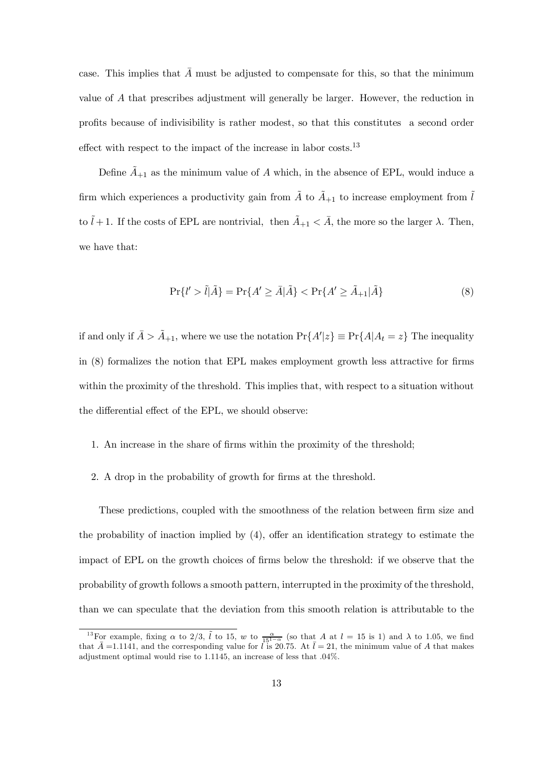case. This implies that  $\overline{A}$  must be adjusted to compensate for this, so that the minimum value of A that prescribes adjustment will generally be larger. However, the reduction in profits because of indivisibility is rather modest, so that this constitutes a second order effect with respect to the impact of the increase in labor costs.<sup>13</sup>

Define  $A_{+1}$  as the minimum value of A which, in the absence of EPL, would induce a firm which experiences a productivity gain from  $\tilde{A}$  to  $\tilde{A}_{+1}$  to increase employment from  $\tilde{l}$ to  $\tilde{l} + 1$ . If the costs of EPL are nontrivial, then  $\tilde{A}_{+1} < \bar{A}$ , the more so the larger  $\lambda$ . Then, we have that:

$$
\Pr\{l' > \tilde{l}|\tilde{A}\} = \Pr\{A' \ge \bar{A}|\tilde{A}\} < \Pr\{A' \ge \tilde{A}_{+1}|\tilde{A}\}\tag{8}
$$

if and only if  $\bar{A} > \tilde{A}_{+1}$ , where we use the notation  $Pr{A'|z} \equiv Pr{A|A_t = z}$  The inequality in (8) formalizes the notion that EPL makes employment growth less attractive for firms within the proximity of the threshold. This implies that, with respect to a situation without the differential effect of the EPL, we should observe:

- 1. An increase in the share of firms within the proximity of the threshold;
- 2. A drop in the probability of growth for firms at the threshold.

These predictions, coupled with the smoothness of the relation between firm size and the probability of inaction implied by (4), offer an identification strategy to estimate the impact of EPL on the growth choices of firms below the threshold: if we observe that the probability of growth follows a smooth pattern, interrupted in the proximity of the threshold, than we can speculate that the deviation from this smooth relation is attributable to the

<sup>&</sup>lt;sup>13</sup>For example, fixing  $\alpha$  to 2/3,  $\tilde{l}$  to 15, w to  $\frac{\alpha}{15^{1-\alpha}}$  (so that A at  $l = 15$  is 1) and  $\lambda$  to 1.05, we find that  $\bar{A}$  =1.1141, and the corresponding value for l is 20.75. At  $\bar{l} = 21$ , the minimum value of A that makes adjustment optimal would rise to 1.1145, an increase of less that .04%.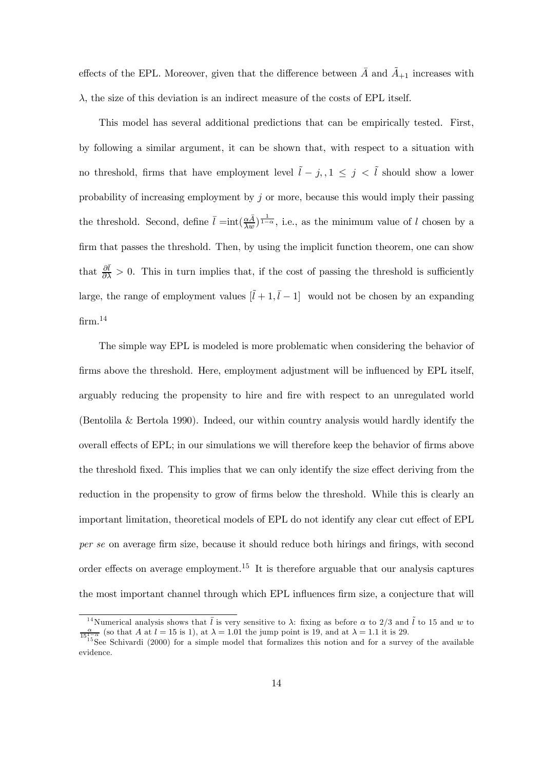effects of the EPL. Moreover, given that the difference between  $\overline{A}$  and  $\overline{A}_{+1}$  increases with  $\lambda$ , the size of this deviation is an indirect measure of the costs of EPL itself.

This model has several additional predictions that can be empirically tested. First, by following a similar argument, it can be shown that, with respect to a situation with no threshold, firms that have employment level  $\tilde{l} - j, 1 \leq j < \tilde{l}$  should show a lower probability of increasing employment by  $j$  or more, because this would imply their passing the threshold. Second, define  $\bar{l} = \text{int}(\frac{\alpha \bar{A}}{\lambda w})^{\frac{1}{1-\alpha}}$ , i.e., as the minimum value of l chosen by a firm that passes the threshold. Then, by using the implicit function theorem, one can show that  $\frac{\partial \bar{l}}{\partial \lambda} > 0$ . This in turn implies that, if the cost of passing the threshold is sufficiently large, the range of employment values  $[\tilde{l} + 1, \bar{l} - 1]$  would not be chosen by an expanding  $\mathrm{firm.}^{14}$ 

The simple way EPL is modeled is more problematic when considering the behavior of firms above the threshold. Here, employment adjustment will be influenced by EPL itself, arguably reducing the propensity to hire and fire with respect to an unregulated world (Bentolila & Bertola 1990). Indeed, our within country analysis would hardly identify the overall effects of EPL; in our simulations we will therefore keep the behavior of firms above the threshold fixed. This implies that we can only identify the size effect deriving from the reduction in the propensity to grow of firms below the threshold. While this is clearly an important limitation, theoretical models of EPL do not identify any clear cut effect of EPL per se on average firm size, because it should reduce both hirings and firings, with second order effects on average employment.<sup>15</sup> It is therefore arguable that our analysis captures the most important channel through which EPL influences firm size, a conjecture that will

<sup>&</sup>lt;sup>14</sup>Numerical analysis shows that  $\bar{l}$  is very sensitive to  $\lambda$ : fixing as before  $\alpha$  to 2/3 and  $\tilde{l}$  to 15 and w to  $\frac{\alpha}{151-\alpha}$  (so that A at  $l = 15$  is 1), at  $\lambda = 1.01$  the jump point is 19, and at  $\lambda = 1.1$  it is 29.<br><sup>15</sup>See Schivardi (2000) for a simple model that formalizes this notion and for a survey of the available

evidence.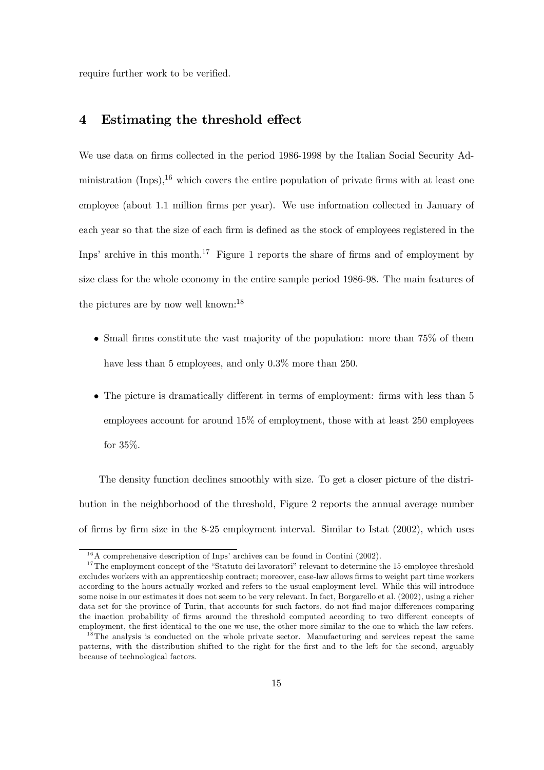require further work to be verified.

#### 4 Estimating the threshold effect

We use data on firms collected in the period 1986-1998 by the Italian Social Security Administration  $($ Inps $)$ ,<sup>16</sup> which covers the entire population of private firms with at least one employee (about 1.1 million firms per year). We use information collected in January of each year so that the size of each firm is defined as the stock of employees registered in the Inps' archive in this month.<sup>17</sup> Figure 1 reports the share of firms and of employment by size class for the whole economy in the entire sample period 1986-98. The main features of the pictures are by now well known:<sup>18</sup>

- Small firms constitute the vast majority of the population: more than 75% of them have less than 5 employees, and only  $0.3\%$  more than 250.
- The picture is dramatically different in terms of employment: firms with less than 5 employees account for around 15% of employment, those with at least 250 employees for 35%.

The density function declines smoothly with size. To get a closer picture of the distribution in the neighborhood of the threshold, Figure 2 reports the annual average number of firms by firm size in the 8-25 employment interval. Similar to Istat (2002), which uses

 $16A$  comprehensive description of Inps' archives can be found in Contini (2002).

<sup>&</sup>lt;sup>17</sup>The employment concept of the "Statuto dei lavoratori" relevant to determine the 15-employee threshold excludes workers with an apprenticeship contract; moreover, case-law allows firms to weight part time workers according to the hours actually worked and refers to the usual employment level. While this will introduce some noise in our estimates it does not seem to be very relevant. In fact, Borgarello et al. (2002), using a richer data set for the province of Turin, that accounts for such factors, do not find major differences comparing the inaction probability of firms around the threshold computed according to two different concepts of employment, the first identical to the one we use, the other more similar to the one to which the law refers.

<sup>&</sup>lt;sup>18</sup>The analysis is conducted on the whole private sector. Manufacturing and services repeat the same patterns, with the distribution shifted to the right for the first and to the left for the second, arguably because of technological factors.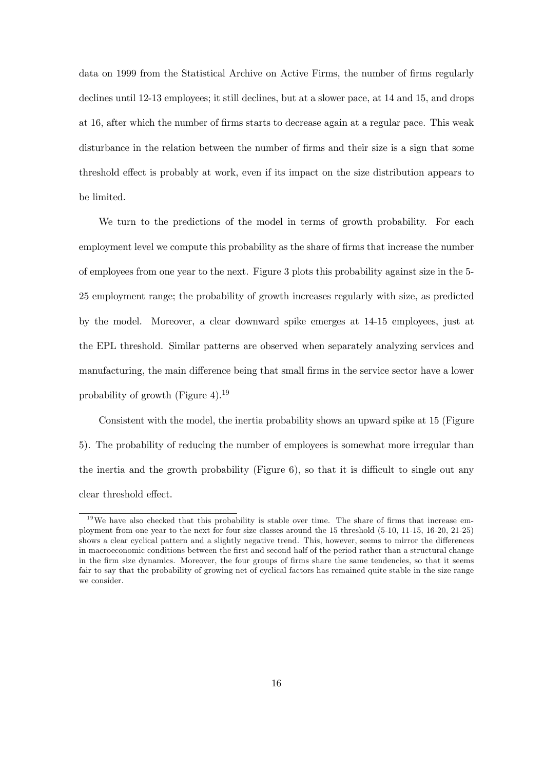data on 1999 from the Statistical Archive on Active Firms, the number of firms regularly declines until 12-13 employees; it still declines, but at a slower pace, at 14 and 15, and drops at 16, after which the number of firms starts to decrease again at a regular pace. This weak disturbance in the relation between the number of firms and their size is a sign that some threshold effect is probably at work, even if its impact on the size distribution appears to be limited.

We turn to the predictions of the model in terms of growth probability. For each employment level we compute this probability as the share of firms that increase the number of employees from one year to the next. Figure 3 plots this probability against size in the 5- 25 employment range; the probability of growth increases regularly with size, as predicted by the model. Moreover, a clear downward spike emerges at 14-15 employees, just at the EPL threshold. Similar patterns are observed when separately analyzing services and manufacturing, the main difference being that small firms in the service sector have a lower probability of growth (Figure 4).1<sup>9</sup>

Consistent with the model, the inertia probability shows an upward spike at 15 (Figure 5). The probability of reducing the number of employees is somewhat more irregular than the inertia and the growth probability (Figure 6), so that it is difficult to single out any clear threshold effect.

 $19$ We have also checked that this probability is stable over time. The share of firms that increase employment from one year to the next for four size classes around the 15 threshold (5-10, 11-15, 16-20, 21-25) shows a clear cyclical pattern and a slightly negative trend. This, however, seems to mirror the differences in macroeconomic conditions between the first and second half of the period rather than a structural change in the firm size dynamics. Moreover, the four groups of firms share the same tendencies, so that it seems fair to say that the probability of growing net of cyclical factors has remained quite stable in the size range we consider.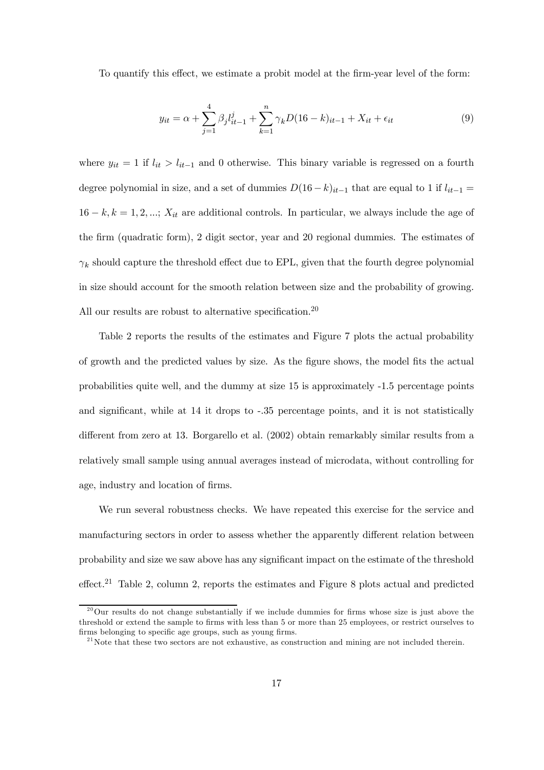To quantify this effect, we estimate a probit model at the firm-year level of the form:

$$
y_{it} = \alpha + \sum_{j=1}^{4} \beta_j l_{it-1}^j + \sum_{k=1}^{n} \gamma_k D(16-k)_{it-1} + X_{it} + \epsilon_{it}
$$
(9)

where  $y_{it} = 1$  if  $l_{it} > l_{it-1}$  and 0 otherwise. This binary variable is regressed on a fourth degree polynomial in size, and a set of dummies  $D(16-k)_{it-1}$  that are equal to 1 if  $l_{it-1}$  =  $16 - k, k = 1, 2, \dots; X_{it}$  are additional controls. In particular, we always include the age of the firm (quadratic form), 2 digit sector, year and 20 regional dummies. The estimates of  $\gamma_k$  should capture the threshold effect due to EPL, given that the fourth degree polynomial in size should account for the smooth relation between size and the probability of growing. All our results are robust to alternative specification.<sup>20</sup>

Table 2 reports the results of the estimates and Figure 7 plots the actual probability of growth and the predicted values by size. As the figure shows, the model fits the actual probabilities quite well, and the dummy at size 15 is approximately -1.5 percentage points and significant, while at 14 it drops to -.35 percentage points, and it is not statistically different from zero at 13. Borgarello et al. (2002) obtain remarkably similar results from a relatively small sample using annual averages instead of microdata, without controlling for age, industry and location of firms.

We run several robustness checks. We have repeated this exercise for the service and manufacturing sectors in order to assess whether the apparently different relation between probability and size we saw above has any significant impact on the estimate of the threshold effect.2<sup>1</sup> Table 2, column 2, reports the estimates and Figure 8 plots actual and predicted

 $20$ Our results do not change substantially if we include dummies for firms whose size is just above the threshold or extend the sample to firms with less than 5 or more than 25 employees, or restrict ourselves to firms belonging to specific age groups, such as young firms.

 $^{21}$ Note that these two sectors are not exhaustive, as construction and mining are not included therein.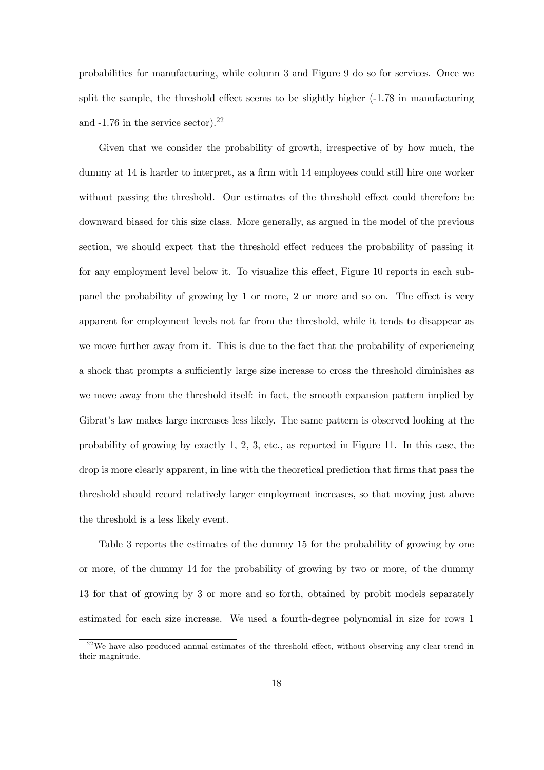probabilities for manufacturing, while column 3 and Figure 9 do so for services. Once we split the sample, the threshold effect seems to be slightly higher (-1.78 in manufacturing and -1.76 in the service sector).22

Given that we consider the probability of growth, irrespective of by how much, the dummy at 14 is harder to interpret, as a firm with 14 employees could still hire one worker without passing the threshold. Our estimates of the threshold effect could therefore be downward biased for this size class. More generally, as argued in the model of the previous section, we should expect that the threshold effect reduces the probability of passing it for any employment level below it. To visualize this effect, Figure 10 reports in each subpanel the probability of growing by 1 or more, 2 or more and so on. The effect is very apparent for employment levels not far from the threshold, while it tends to disappear as we move further away from it. This is due to the fact that the probability of experiencing a shock that prompts a sufficiently large size increase to cross the threshold diminishes as we move away from the threshold itself: in fact, the smooth expansion pattern implied by Gibrat's law makes large increases less likely. The same pattern is observed looking at the probability of growing by exactly 1, 2, 3, etc., as reported in Figure 11. In this case, the drop is more clearly apparent, in line with the theoretical prediction that firms that pass the threshold should record relatively larger employment increases, so that moving just above the threshold is a less likely event.

Table 3 reports the estimates of the dummy 15 for the probability of growing by one or more, of the dummy 14 for the probability of growing by two or more, of the dummy 13 for that of growing by 3 or more and so forth, obtained by probit models separately estimated for each size increase. We used a fourth-degree polynomial in size for rows 1

 $22$ We have also produced annual estimates of the threshold effect, without observing any clear trend in their magnitude.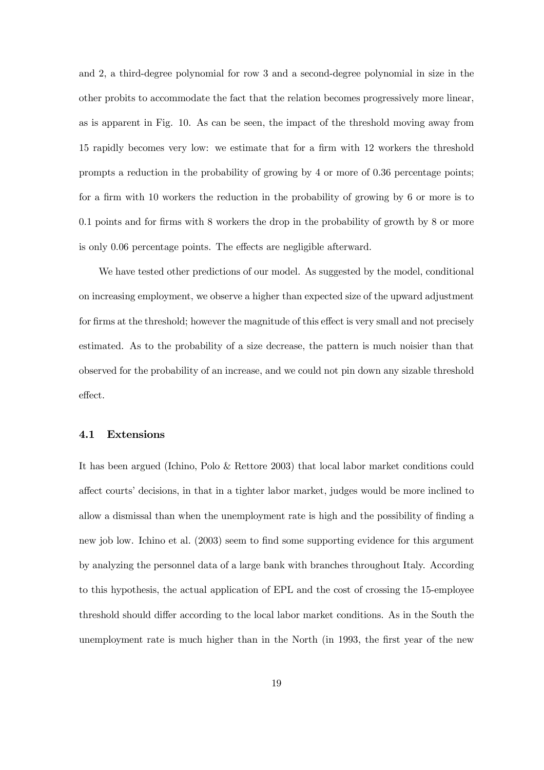and 2, a third-degree polynomial for row 3 and a second-degree polynomial in size in the other probits to accommodate the fact that the relation becomes progressively more linear, as is apparent in Fig. 10. As can be seen, the impact of the threshold moving away from 15 rapidly becomes very low: we estimate that for a firm with 12 workers the threshold prompts a reduction in the probability of growing by 4 or more of 0.36 percentage points; for a firm with 10 workers the reduction in the probability of growing by 6 or more is to 0.1 points and for firms with 8 workers the drop in the probability of growth by 8 or more is only 0.06 percentage points. The effects are negligible afterward.

We have tested other predictions of our model. As suggested by the model, conditional on increasing employment, we observe a higher than expected size of the upward adjustment for firms at the threshold; however the magnitude of this effect is very small and not precisely estimated. As to the probability of a size decrease, the pattern is much noisier than that observed for the probability of an increase, and we could not pin down any sizable threshold effect.

#### 4.1 Extensions

It has been argued (Ichino, Polo & Rettore 2003) that local labor market conditions could affect courts' decisions, in that in a tighter labor market, judges would be more inclined to allow a dismissal than when the unemployment rate is high and the possibility of finding a new job low. Ichino et al. (2003) seem to find some supporting evidence for this argument by analyzing the personnel data of a large bank with branches throughout Italy. According to this hypothesis, the actual application of EPL and the cost of crossing the 15-employee threshold should differ according to the local labor market conditions. As in the South the unemployment rate is much higher than in the North (in 1993, the first year of the new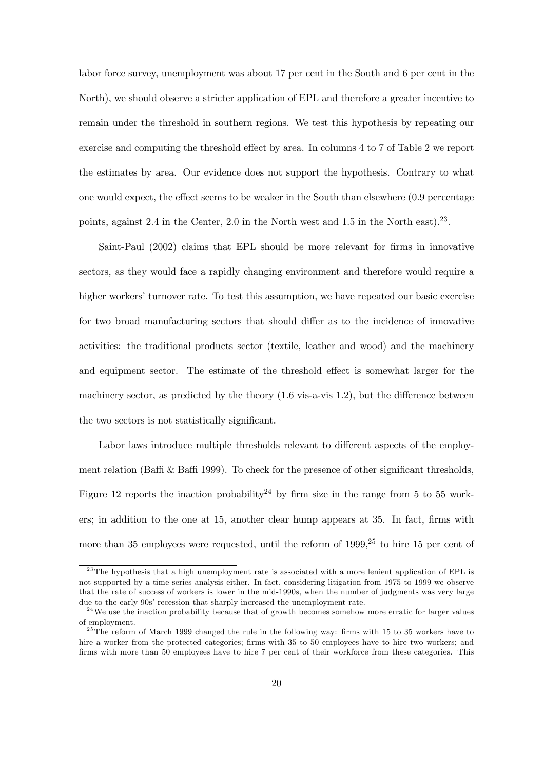labor force survey, unemployment was about 17 per cent in the South and 6 per cent in the North), we should observe a stricter application of EPL and therefore a greater incentive to remain under the threshold in southern regions. We test this hypothesis by repeating our exercise and computing the threshold effect by area. In columns 4 to 7 of Table 2 we report the estimates by area. Our evidence does not support the hypothesis. Contrary to what one would expect, the effect seems to be weaker in the South than elsewhere (0.9 percentage points, against 2.4 in the Center, 2.0 in the North west and 1.5 in the North east).<sup>23</sup>.

Saint-Paul (2002) claims that EPL should be more relevant for firms in innovative sectors, as they would face a rapidly changing environment and therefore would require a higher workers' turnover rate. To test this assumption, we have repeated our basic exercise for two broad manufacturing sectors that should differ as to the incidence of innovative activities: the traditional products sector (textile, leather and wood) and the machinery and equipment sector. The estimate of the threshold effect is somewhat larger for the machinery sector, as predicted by the theory (1.6 vis-a-vis 1.2), but the difference between the two sectors is not statistically significant.

Labor laws introduce multiple thresholds relevant to different aspects of the employment relation (Baffi & Baffi 1999). To check for the presence of other significant thresholds, Figure 12 reports the inaction probability<sup>24</sup> by firm size in the range from 5 to 55 workers; in addition to the one at 15, another clear hump appears at 35. In fact, firms with more than 35 employees were requested, until the reform of  $1999<sup>25</sup>$  to hire 15 per cent of

<sup>&</sup>lt;sup>23</sup>The hypothesis that a high unemployment rate is associated with a more lenient application of EPL is not supported by a time series analysis either. In fact, considering litigation from 1975 to 1999 we observe that the rate of success of workers is lower in the mid-1990s, when the number of judgments was very large due to the early 90s' recession that sharply increased the unemployment rate.

 $2<sup>4</sup>$  We use the inaction probability because that of growth becomes somehow more erratic for larger values of employment.

 $^{25}$ The reform of March 1999 changed the rule in the following way: firms with 15 to 35 workers have to hire a worker from the protected categories; firms with 35 to 50 employees have to hire two workers; and firms with more than 50 employees have to hire 7 per cent of their workforce from these categories. This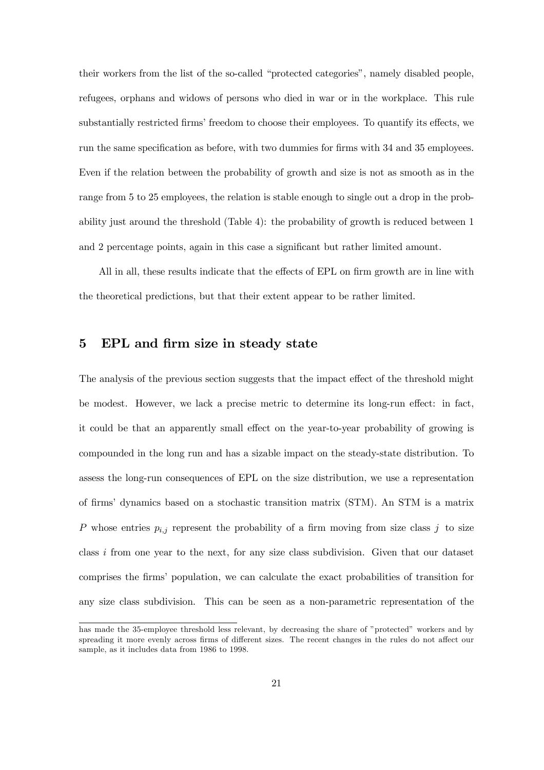their workers from the list of the so-called "protected categories", namely disabled people, refugees, orphans and widows of persons who died in war or in the workplace. This rule substantially restricted firms' freedom to choose their employees. To quantify its effects, we run the same specification as before, with two dummies for firms with 34 and 35 employees. Even if the relation between the probability of growth and size is not as smooth as in the range from 5 to 25 employees, the relation is stable enough to single out a drop in the probability just around the threshold (Table 4): the probability of growth is reduced between 1 and 2 percentage points, again in this case a significant but rather limited amount.

All in all, these results indicate that the effects of EPL on firm growth are in line with the theoretical predictions, but that their extent appear to be rather limited.

#### 5 EPL and firm size in steady state

The analysis of the previous section suggests that the impact effect of the threshold might be modest. However, we lack a precise metric to determine its long-run effect: in fact, it could be that an apparently small effect on the year-to-year probability of growing is compounded in the long run and has a sizable impact on the steady-state distribution. To assess the long-run consequences of EPL on the size distribution, we use a representation of firms' dynamics based on a stochastic transition matrix (STM). An STM is a matrix P whose entries  $p_{i,j}$  represent the probability of a firm moving from size class j to size class i from one year to the next, for any size class subdivision. Given that our dataset comprises the firms' population, we can calculate the exact probabilities of transition for any size class subdivision. This can be seen as a non-parametric representation of the

has made the 35-employee threshold less relevant, by decreasing the share of "protected" workers and by spreading it more evenly across firms of different sizes. The recent changes in the rules do not affect our sample, as it includes data from 1986 to 1998.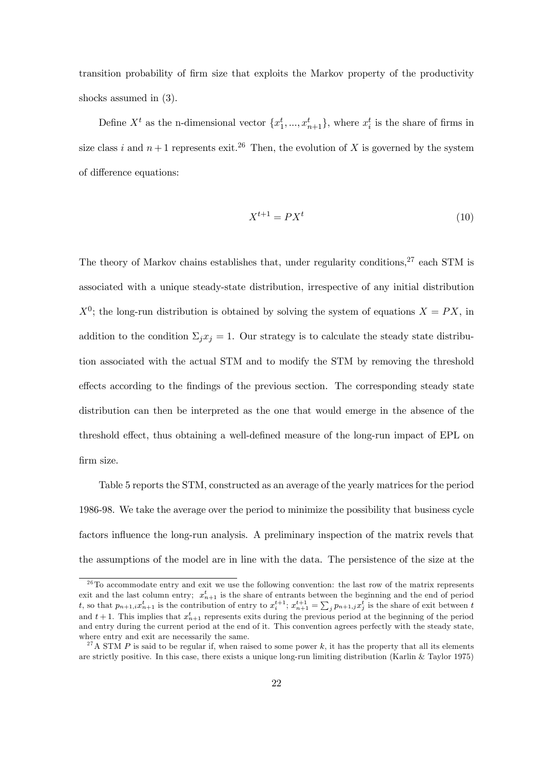transition probability of firm size that exploits the Markov property of the productivity shocks assumed in (3).

Define  $X^t$  as the n-dimensional vector  $\{x_1^t, ..., x_{n+1}^t\}$ , where  $x_i^t$  is the share of firms in size class i and  $n+1$  represents exit.<sup>26</sup> Then, the evolution of X is governed by the system of difference equations:

$$
X^{t+1} = PX^t \tag{10}
$$

The theory of Markov chains establishes that, under regularity conditions, $27$  each STM is associated with a unique steady-state distribution, irrespective of any initial distribution  $X^0$ ; the long-run distribution is obtained by solving the system of equations  $X = PX$ , in addition to the condition  $\Sigma_j x_j = 1$ . Our strategy is to calculate the steady state distribution associated with the actual STM and to modify the STM by removing the threshold effects according to the findings of the previous section. The corresponding steady state distribution can then be interpreted as the one that would emerge in the absence of the threshold effect, thus obtaining a well-defined measure of the long-run impact of EPL on firm size.

Table 5 reports the STM, constructed as an average of the yearly matrices for the period 1986-98. We take the average over the period to minimize the possibility that business cycle factors influence the long-run analysis. A preliminary inspection of the matrix revels that the assumptions of the model are in line with the data. The persistence of the size at the

 $\frac{26}{10}$  accommodate entry and exit we use the following convention: the last row of the matrix represents exit and the last column entry;  $x_{n+1}^t$  is the share of entrants between the beginning and the end of period t, so that  $p_{n+1,i}x_{n+1}^t$  is the contribution of entry to  $x_i^{t+1}$ ;  $x_{n+1}^{t+1} = \sum_j p_{n+1,j}x_j^t$  is the share of exit between t and  $t+1$ . This implies that  $x_{n+1}^t$  represents exits during the previous period at the beginning of the period and entry during the current period at the end of it. This convention agrees perfectly with the steady state, where entry and exit are necessarily the same.

<sup>&</sup>lt;sup>27</sup>A STM P is said to be regular if, when raised to some power k, it has the property that all its elements are strictly positive. In this case, there exists a unique long-run limiting distribution (Karlin & Taylor 1975)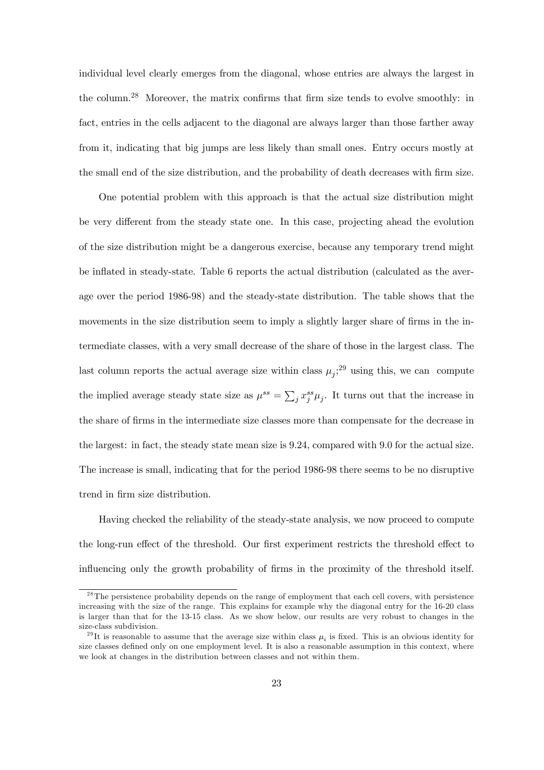individual level clearly emerges from the diagonal, whose entries are always the largest in the column.<sup>28</sup> Moreover, the matrix confirms that firm size tends to evolve smoothly: in fact, entries in the cells adjacent to the diagonal are always larger than those farther away from it, indicating that big jumps are less likely than small ones. Entry occurs mostly at the small end of the size distribution, and the probability of death decreases with firm size.

One potential problem with this approach is that the actual size distribution might be very different from the steady state one. In this case, projecting ahead the evolution of the size distribution might be a dangerous exercise, because any temporary trend might be inflated in steady-state. Table 6 reports the actual distribution (calculated as the average over the period 1986-98) and the steady-state distribution. The table shows that the movements in the size distribution seem to imply a slightly larger share of firms in the intermediate classes, with a very small decrease of the share of those in the largest class. The last column reports the actual average size within class  $\mu_j$ ;<sup>29</sup> using this, we can compute the implied average steady state size as  $\mu^{ss} = \sum_j x_j^{ss} \mu_j$ . It turns out that the increase in the share of firms in the intermediate size classes more than compensate for the decrease in the largest: in fact, the steady state mean size is 9.24, compared with 9.0 for the actual size. The increase is small, indicating that for the period 1986-98 there seems to be no disruptive trend in firm size distribution.

Having checked the reliability of the steady-state analysis, we now proceed to compute the long-run effect of the threshold. Our first experiment restricts the threshold effect to influencing only the growth probability of firms in the proximity of the threshold itself.

<sup>&</sup>lt;sup>28</sup>The persistence probability depends on the range of employment that each cell covers, with persistence increasing with the size of the range. This explains for example why the diagonal entry for the 16-20 class is larger than that for the 13-15 class. As we show below, our results are very robust to changes in the size-class subdivision.

<sup>&</sup>lt;sup>29</sup>It is reasonable to assume that the average size within class  $\mu_i$  is fixed. This is an obvious identity for size classes defined only on one employment level. It is also a reasonable assumption in this context, where we look at changes in the distribution between classes and not within them.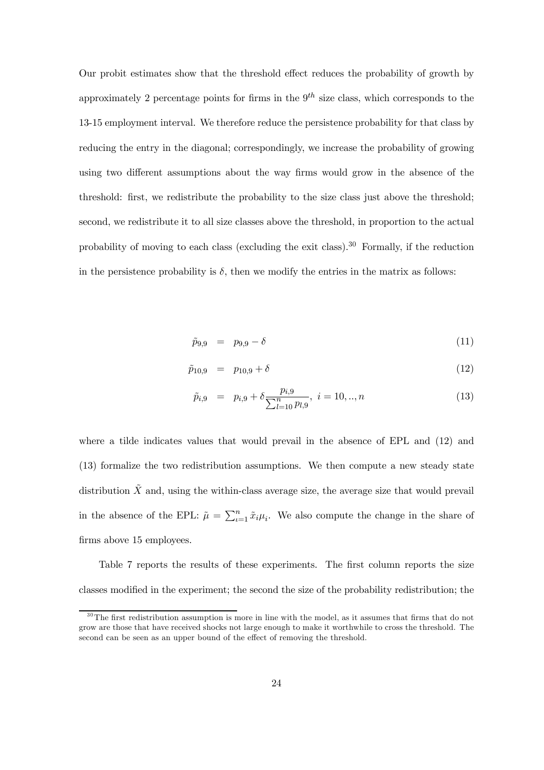Our probit estimates show that the threshold effect reduces the probability of growth by approximately 2 percentage points for firms in the  $9<sup>th</sup>$  size class, which corresponds to the 13-15 employment interval. We therefore reduce the persistence probability for that class by reducing the entry in the diagonal; correspondingly, we increase the probability of growing using two different assumptions about the way firms would grow in the absence of the threshold: first, we redistribute the probability to the size class just above the threshold; second, we redistribute it to all size classes above the threshold, in proportion to the actual probability of moving to each class (excluding the exit class).<sup>30</sup> Formally, if the reduction in the persistence probability is  $\delta$ , then we modify the entries in the matrix as follows:

$$
\tilde{p}_{9,9} = p_{9,9} - \delta \tag{11}
$$

$$
\tilde{p}_{10,9} = p_{10,9} + \delta \tag{12}
$$

$$
\tilde{p}_{i,9} = p_{i,9} + \delta \frac{p_{i,9}}{\sum_{l=10}^{n} p_{l,9}}, \quad i = 10, ..., n \tag{13}
$$

where a tilde indicates values that would prevail in the absence of EPL and (12) and (13) formalize the two redistribution assumptions. We then compute a new steady state distribution  $\tilde{X}$  and, using the within-class average size, the average size that would prevail in the absence of the EPL:  $\tilde{\mu} = \sum_{i=1}^{n} \tilde{x}_i \mu_i$ . We also compute the change in the share of firms above 15 employees.

Table 7 reports the results of these experiments. The first column reports the size classes modified in the experiment; the second the size of the probability redistribution; the

 $30$ The first redistribution assumption is more in line with the model, as it assumes that firms that do not grow are those that have received shocks not large enough to make it worthwhile to cross the threshold. The second can be seen as an upper bound of the effect of removing the threshold.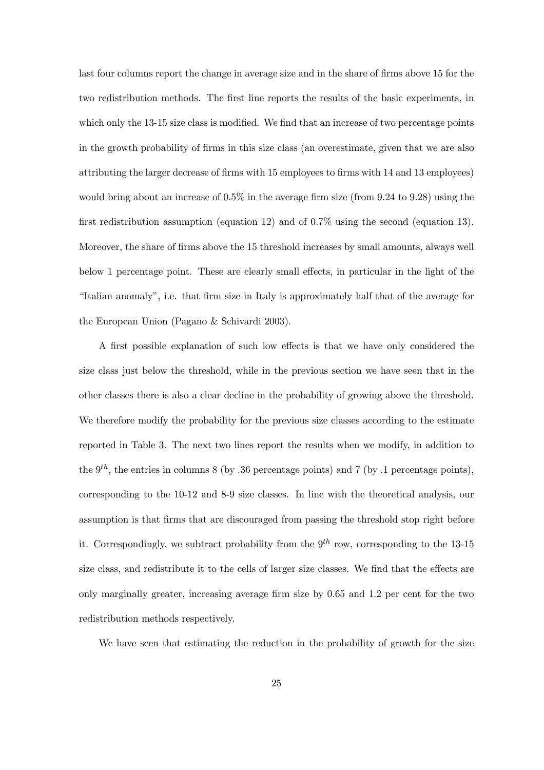last four columns report the change in average size and in the share of firms above 15 for the two redistribution methods. The first line reports the results of the basic experiments, in which only the 13-15 size class is modified. We find that an increase of two percentage points in the growth probability of firms in this size class (an overestimate, given that we are also attributing the larger decrease of firms with 15 employees to firms with 14 and 13 employees) would bring about an increase of 0.5% in the average firm size (from 9.24 to 9.28) using the first redistribution assumption (equation 12) and of 0.7% using the second (equation 13). Moreover, the share of firms above the 15 threshold increases by small amounts, always well below 1 percentage point. These are clearly small effects, in particular in the light of the "Italian anomaly", i.e. that firm size in Italy is approximately half that of the average for the European Union (Pagano & Schivardi 2003).

A first possible explanation of such low effects is that we have only considered the size class just below the threshold, while in the previous section we have seen that in the other classes there is also a clear decline in the probability of growing above the threshold. We therefore modify the probability for the previous size classes according to the estimate reported in Table 3. The next two lines report the results when we modify, in addition to the  $9^{th}$ , the entries in columns 8 (by .36 percentage points) and 7 (by .1 percentage points), corresponding to the 10-12 and 8-9 size classes. In line with the theoretical analysis, our assumption is that firms that are discouraged from passing the threshold stop right before it. Correspondingly, we subtract probability from the  $9^{th}$  row, corresponding to the 13-15 size class, and redistribute it to the cells of larger size classes. We find that the effects are only marginally greater, increasing average firm size by 0.65 and 1.2 per cent for the two redistribution methods respectively.

We have seen that estimating the reduction in the probability of growth for the size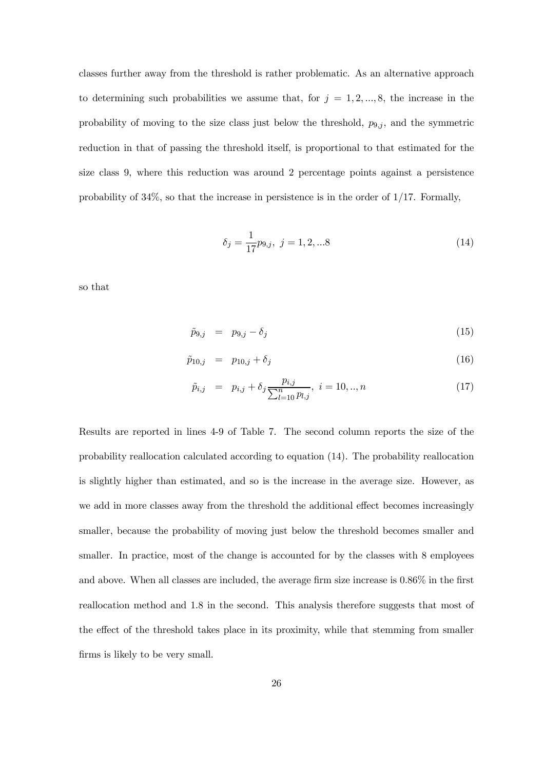classes further away from the threshold is rather problematic. As an alternative approach to determining such probabilities we assume that, for  $j = 1, 2, ..., 8$ , the increase in the probability of moving to the size class just below the threshold,  $p_{9,j}$ , and the symmetric reduction in that of passing the threshold itself, is proportional to that estimated for the size class 9, where this reduction was around 2 percentage points against a persistence probability of  $34\%$ , so that the increase in persistence is in the order of  $1/17$ . Formally,

$$
\delta_j = \frac{1}{17} p_{9,j}, \ j = 1, 2, \dots 8 \tag{14}
$$

so that

$$
\tilde{p}_{9,j} = p_{9,j} - \delta_j \tag{15}
$$

$$
\tilde{p}_{10,j} = p_{10,j} + \delta_j \tag{16}
$$

$$
\tilde{p}_{i,j} = p_{i,j} + \delta_j \frac{p_{i,j}}{\sum_{l=10}^n p_{l,j}}, \ i = 10, ..., n \tag{17}
$$

Results are reported in lines 4-9 of Table 7. The second column reports the size of the probability reallocation calculated according to equation (14). The probability reallocation is slightly higher than estimated, and so is the increase in the average size. However, as we add in more classes away from the threshold the additional effect becomes increasingly smaller, because the probability of moving just below the threshold becomes smaller and smaller. In practice, most of the change is accounted for by the classes with 8 employees and above. When all classes are included, the average firm size increase is 0.86% in the first reallocation method and 1.8 in the second. This analysis therefore suggests that most of the effect of the threshold takes place in its proximity, while that stemming from smaller firms is likely to be very small.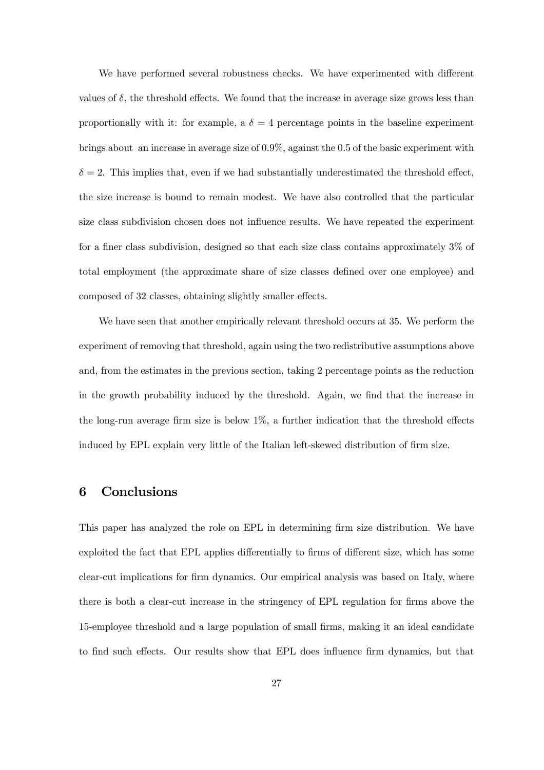We have performed several robustness checks. We have experimented with different values of  $\delta$ , the threshold effects. We found that the increase in average size grows less than proportionally with it: for example, a  $\delta = 4$  percentage points in the baseline experiment brings about an increase in average size of 0.9%, against the 0.5 of the basic experiment with  $\delta = 2$ . This implies that, even if we had substantially underestimated the threshold effect, the size increase is bound to remain modest. We have also controlled that the particular size class subdivision chosen does not influence results. We have repeated the experiment for a finer class subdivision, designed so that each size class contains approximately 3% of total employment (the approximate share of size classes defined over one employee) and composed of 32 classes, obtaining slightly smaller effects.

We have seen that another empirically relevant threshold occurs at 35. We perform the experiment of removing that threshold, again using the two redistributive assumptions above and, from the estimates in the previous section, taking 2 percentage points as the reduction in the growth probability induced by the threshold. Again, we find that the increase in the long-run average firm size is below 1%, a further indication that the threshold effects induced by EPL explain very little of the Italian left-skewed distribution of firm size.

#### 6 Conclusions

This paper has analyzed the role on EPL in determining firm size distribution. We have exploited the fact that EPL applies differentially to firms of different size, which has some clear-cut implications for firm dynamics. Our empirical analysis was based on Italy, where there is both a clear-cut increase in the stringency of EPL regulation for firms above the 15-employee threshold and a large population of small firms, making it an ideal candidate to find such effects. Our results show that EPL does influence firm dynamics, but that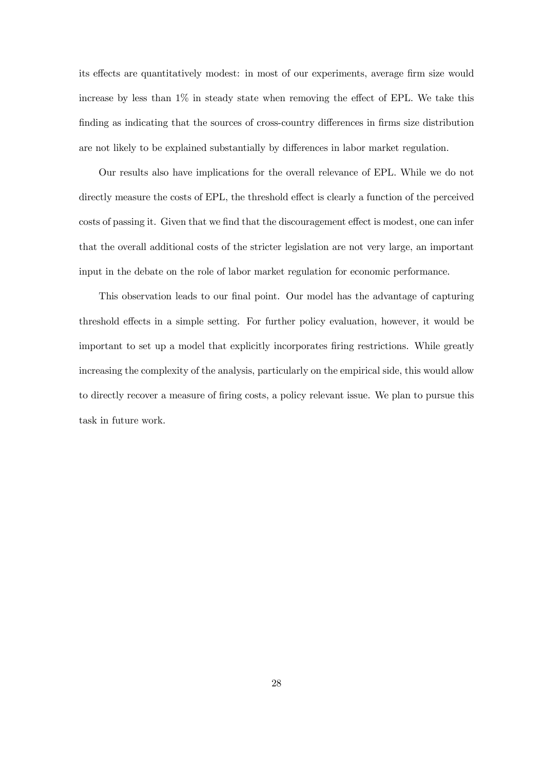its effects are quantitatively modest: in most of our experiments, average firm size would increase by less than 1% in steady state when removing the effect of EPL. We take this finding as indicating that the sources of cross-country differences in firms size distribution are not likely to be explained substantially by differences in labor market regulation.

Our results also have implications for the overall relevance of EPL. While we do not directly measure the costs of EPL, the threshold effect is clearly a function of the perceived costs of passing it. Given that we find that the discouragement effect is modest, one can infer that the overall additional costs of the stricter legislation are not very large, an important input in the debate on the role of labor market regulation for economic performance.

This observation leads to our final point. Our model has the advantage of capturing threshold effects in a simple setting. For further policy evaluation, however, it would be important to set up a model that explicitly incorporates firing restrictions. While greatly increasing the complexity of the analysis, particularly on the empirical side, this would allow to directly recover a measure of firing costs, a policy relevant issue. We plan to pursue this task in future work.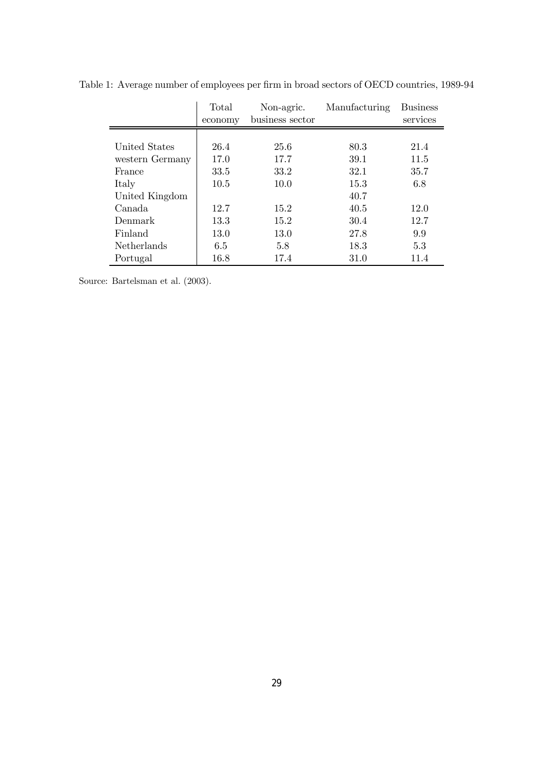|                    | Total<br>economy | Non-agric.<br>business sector | Manufacturing | <b>Business</b><br>services |
|--------------------|------------------|-------------------------------|---------------|-----------------------------|
|                    |                  |                               |               |                             |
| United States      | 26.4             | 25.6                          | 80.3          | 21.4                        |
| western Germany    | 17.0             | 17.7                          | 39.1          | 11.5                        |
| France             | 33.5             | 33.2                          | 32.1          | 35.7                        |
| Italy              | 10.5             | 10.0                          | 15.3          | 6.8                         |
| United Kingdom     |                  |                               | 40.7          |                             |
| Canada             | 12.7             | 15.2                          | 40.5          | 12.0                        |
| Denmark            | 13.3             | 15.2                          | 30.4          | 12.7                        |
| Finland            | 13.0             | 13.0                          | 27.8          | 9.9                         |
| <b>Netherlands</b> | 6.5              | 5.8                           | 18.3          | 5.3                         |
| Portugal           | 16.8             | 17.4                          | 31.0          | 11.4                        |

Table 1: Average number of employees per firm in broad sectors of OECD countries, 1989-94

Source: Bartelsman et al. (2003).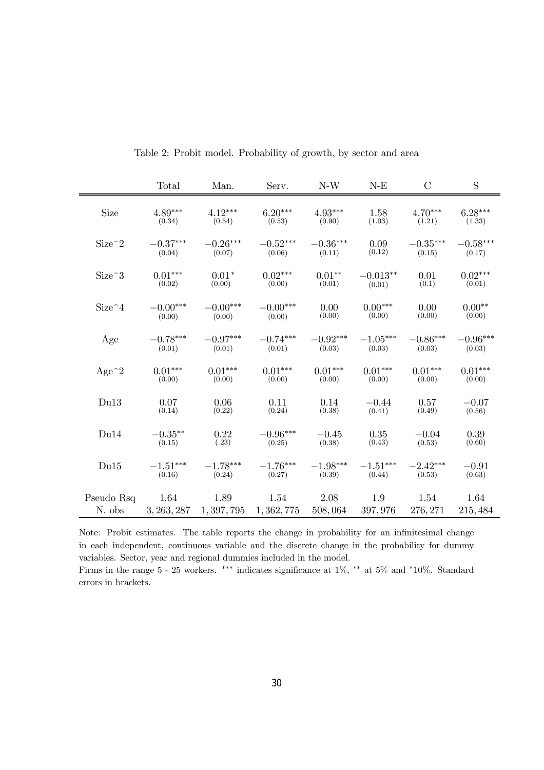|            | Total       | Man.       | Serv.                   | $N-W$      | $N-E$      | $\mathcal{C}$ | $\mathbf S$ |
|------------|-------------|------------|-------------------------|------------|------------|---------------|-------------|
| Size       | $4.89***$   | $4.12***$  | $6.20***$               | $4.93***$  | 1.58       | $4.70***$     | $6.28***$   |
|            | (0.34)      | (0.54)     | (0.53)                  | (0.90)     | (1.03)     | (1.21)        | (1.33)      |
| $Size^2$   | $-0.37***$  | $-0.26***$ | $-0.52***$              | $-0.36***$ | 0.09       | $-0.35***$    | $-0.58***$  |
|            | (0.04)      | (0.07)     | (0.06)                  | (0.11)     | (0.12)     | (0.15)        | (0.17)      |
| $Size^3$   | $0.01***$   | $0.01*$    | $0.02***$               | $0.01**$   | $-0.013**$ | 0.01          | $0.02***$   |
|            | (0.02)      | (0.00)     | (0.00)                  | (0.01)     | (0.01)     | (0.1)         | (0.01)      |
| $Size^4$   | $-0.00***$  | $-0.00***$ | $-0.00***$              | 0.00       | $0.00***$  | 0.00          | $0.00**$    |
|            | (0.00)      | (0.00)     | (0.00)                  | (0.00)     | (0.00)     | (0.00)        | (0.00)      |
| Age        | $-0.78***$  | $-0.97***$ | $-0.74***$              | $-0.92***$ | $-1.05***$ | $-0.86***$    | $-0.96***$  |
|            | (0.01)      | (0.01)     | (0.01)                  | (0.03)     | (0.03)     | (0.03)        | (0.03)      |
| $Age^2$    | $0.01***$   | $0.01***$  | $0.01***$               | $0.01***$  | $0.01***$  | $0.01***$     | $0.01***$   |
|            | (0.00)      | (0.00)     | (0.00)                  | (0.00)     | (0.00)     | (0.00)        | (0.00)      |
| Du13       | 0.07        | 0.06       | 0.11                    | 0.14       | $-0.44$    | 0.57          | $-0.07$     |
|            | (0.14)      | (0.22)     | (0.24)                  | (0.38)     | (0.41)     | (0.49)        | (0.56)      |
| Du14       | $-0.35***$  | 0.22       | $-0.96***$              | $-0.45$    | 0.35       | $-0.04$       | 0.39        |
|            | (0.15)      | (.23)      | (0.25)                  | (0.38)     | (0.43)     | (0.53)        | (0.60)      |
| Du15       | $-1.51***$  | $-1.78***$ | $-1.76***$              | $-1.98***$ | $-1.51***$ | $-2.42***$    | $-0.91$     |
|            | (0.16)      | (0.24)     | (0.27)                  | (0.39)     | (0.44)     | (0.53)        | (0.63)      |
| Pseudo Rsq | 1.64        | 1.89       | 1.54                    | 2.08       | 1.9        | 1.54          | 1.64        |
| N. obs     | 3, 263, 287 |            | $1,397,795$ $1,362,775$ | 508,064    | 397,976    | 276, 271      | 215, 484    |

Table 2: Probit model. Probability of growth, by sector and area

Note: Probit estimates. The table reports the change in probability for an infinitesimal change in each independent, continuous variable and the discrete change in the probability for dummy variables. Sector, year and regional dummies included in the model. Firms in the range 5 - 25 workers. ∗∗∗ indicates significance at 1%, ∗∗ at 5% and ∗10%. Standard errors in brackets.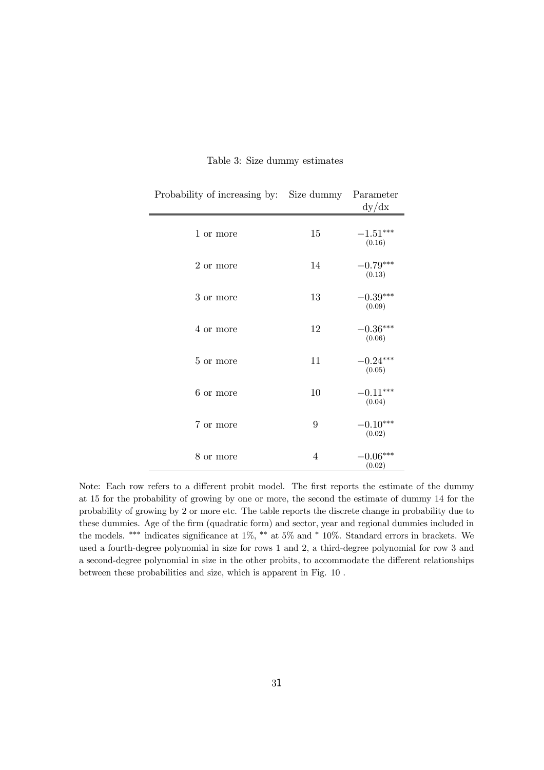| Probability of increasing by:   | Size dummy     | Parameter<br>dy/dx   |
|---------------------------------|----------------|----------------------|
| 1 or more                       | 15             | $-1.51***$<br>(0.16) |
| $2\ \mathrm{or}\ \mathrm{more}$ | 14             | $-0.79***$<br>(0.13) |
| 3 or more                       | 13             | $-0.39***$<br>(0.09) |
| 4 or more                       | 12             | $-0.36***$<br>(0.06) |
| 5 or more                       | 11             | $-0.24***$<br>(0.05) |
| 6 or more                       | 10             | $-0.11***$<br>(0.04) |
| $7$ or more                     | 9              | $0.10***$<br>(0.02)  |
| 8 or more                       | $\overline{4}$ | $-0.06***$<br>(0.02) |

#### Table 3: Size dummy estimates

 $\equiv$ 

Note: Each row refers to a different probit model. The first reports the estimate of the dummy at 15 for the probability of growing by one or more, the second the estimate of dummy 14 for the probability of growing by 2 or more etc. The table reports the discrete change in probability due to these dummies. Age of the firm (quadratic form) and sector, year and regional dummies included in the models. ∗∗∗ indicates significance at 1%, ∗∗ at 5% and ∗ 10%. Standard errors in brackets. We used a fourth-degree polynomial in size for rows 1 and 2, a third-degree polynomial for row 3 and a second-degree polynomial in size in the other probits, to accommodate the different relationships between these probabilities and size, which is apparent in Fig. 10 .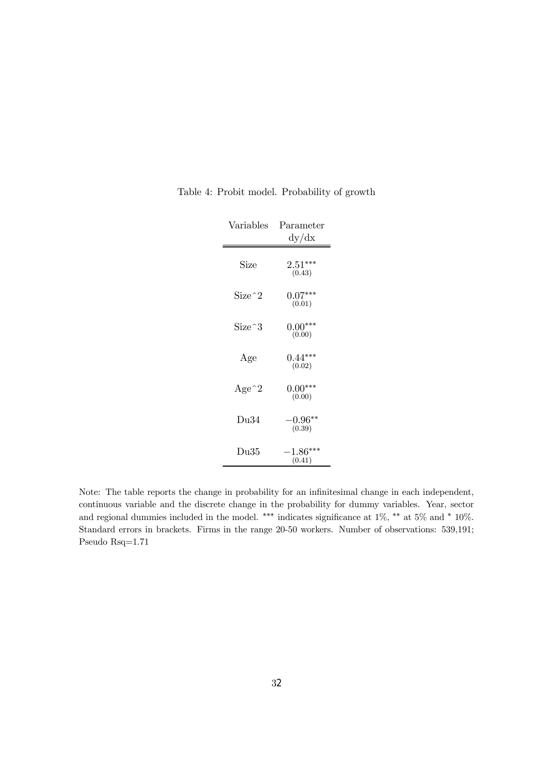| Variables                            | Parameter                       |
|--------------------------------------|---------------------------------|
|                                      | dy/dx                           |
| Size                                 | $2.51^{\ast\ast\ast}$<br>(0.43) |
| $Size^{\wedge}2$                     | $0.07***$<br>(0.01)             |
| Size^3                               | $0.00***$<br>(0.00)             |
| Age                                  | $0.44***$<br>(0.02)             |
| Age <sup><math>\gamma</math></sup> 2 | $0.00***$<br>(0.00)             |
| Du34                                 | $-0.96^{\ast\ast}$<br>(0.39)    |
| Du35                                 | $-1.86***$<br>(0.41)            |

Table 4: Probit model. Probability of growth

Note: The table reports the change in probability for an infinitesimal change in each independent, continuous variable and the discrete change in the probability for dummy variables. Year, sector and regional dummies included in the model. \*\*\* indicates significance at 1%, \*\* at 5% and \* 10%. Standard errors in brackets. Firms in the range 20-50 workers. Number of observations: 539,191; Pseudo Rsq=1.71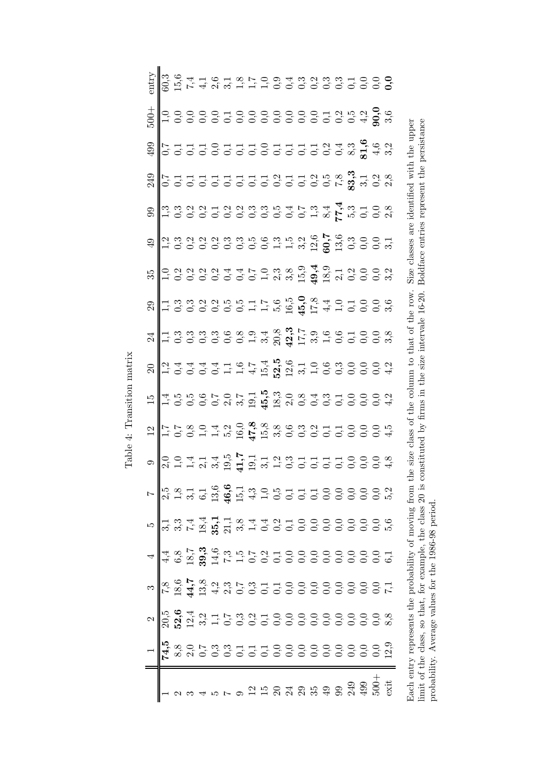| $- \sqrt{\frac{1}{2}} \sum_{n = 0}^{\infty} \sum_{n = 0}^{\infty} \sum_{n = 0}^{\infty} \sum_{n = 0}^{\infty} \sum_{n = 0}^{\infty} \sum_{n = 0}^{\infty} \sum_{n = 0}^{\infty} \sum_{n = 0}^{\infty} \sum_{n = 0}^{\infty} \sum_{n = 0}^{\infty} \sum_{n = 0}^{\infty} \sum_{n = 0}^{\infty} \sum_{n = 0}^{\infty} \sum_{n = 0}^{\infty} \sum_{n = 0}^{\infty} \sum_{n = 0}^{\infty} \sum$ | $\begin{array}{c} \mathbf{a} \begin{vmatrix} \mathbf{b} & \mathbf{c} & \mathbf{c} \\ \mathbf{c} & \mathbf{c} & \mathbf{c} \\ \mathbf{c} & \mathbf{c} & \mathbf{c} \end{vmatrix} \mathbf{c} & \mathbf{c} \mathbf{c} & \mathbf{c} \end{array} \\ \mathbf{a} \begin{vmatrix} \mathbf{c} & \mathbf{c} & \mathbf{c} \\ \mathbf{c} & \mathbf{c} & \mathbf{c} \\ \mathbf{c} & \mathbf{c} & \mathbf{c} \end{vmatrix} \mathbf{c} & \mathbf{c} \begin{vmatrix} \math$ | $\begin{array}{c} \mathcal{P} \left\  \begin{matrix} \mathcal{P} & \mathcal{P} & \mathcal{P} & \mathcal{P} & \mathcal{P} & \mathcal{P} & \mathcal{P} & \mathcal{P} & \mathcal{P} & \mathcal{P} & \mathcal{P} & \mathcal{P} & \mathcal{P} & \mathcal{P} & \mathcal{P} & \mathcal{P} & \mathcal{P} & \mathcal{P} & \mathcal{P} & \mathcal{P} & \mathcal{P} & \mathcal{P} & \mathcal{P} & \mathcal{P} & \mathcal{P} & \mathcal{P} & \mathcal{P} & \mathcal{P} & \math$ |  |                                                                                                                                                                                                                                                                                                                                                                                                           |                  |                                                                                                                                                                                                                                                                                                                                                                                                                                 |  |                                                                                                                                                                                                                                                                                                                                                                                                                             |  |  |                                                                                                                                                                                                                                                                                                                                                                                                                                                                                                                                                                                                                                                                                   | $+00$ |                                                                                                                                                                                                                                                                                                                                                          |
|---------------------------------------------------------------------------------------------------------------------------------------------------------------------------------------------------------------------------------------------------------------------------------------------------------------------------------------------------------------------------------------------|-------------------------------------------------------------------------------------------------------------------------------------------------------------------------------------------------------------------------------------------------------------------------------------------------------------------------------------------------------------------------------------------------------------------------------------------------------------|---------------------------------------------------------------------------------------------------------------------------------------------------------------------------------------------------------------------------------------------------------------------------------------------------------------------------------------------------------------------------------------------------------------------------------------------------------------------|--|-----------------------------------------------------------------------------------------------------------------------------------------------------------------------------------------------------------------------------------------------------------------------------------------------------------------------------------------------------------------------------------------------------------|------------------|---------------------------------------------------------------------------------------------------------------------------------------------------------------------------------------------------------------------------------------------------------------------------------------------------------------------------------------------------------------------------------------------------------------------------------|--|-----------------------------------------------------------------------------------------------------------------------------------------------------------------------------------------------------------------------------------------------------------------------------------------------------------------------------------------------------------------------------------------------------------------------------|--|--|-----------------------------------------------------------------------------------------------------------------------------------------------------------------------------------------------------------------------------------------------------------------------------------------------------------------------------------------------------------------------------------------------------------------------------------------------------------------------------------------------------------------------------------------------------------------------------------------------------------------------------------------------------------------------------------|-------|----------------------------------------------------------------------------------------------------------------------------------------------------------------------------------------------------------------------------------------------------------------------------------------------------------------------------------------------------------|
|                                                                                                                                                                                                                                                                                                                                                                                             |                                                                                                                                                                                                                                                                                                                                                                                                                                                             |                                                                                                                                                                                                                                                                                                                                                                                                                                                                     |  | $\mathcal{F} = \begin{bmatrix} \n\frac{1}{2} & \frac{1}{2} & \frac{1}{2} & \frac{1}{2} & \frac{1}{2} & \frac{1}{2} & \frac{1}{2} & \frac{1}{2} & \frac{1}{2} & \frac{1}{2} & \frac{1}{2} & \frac{1}{2} & \frac{1}{2} & \frac{1}{2} & \frac{1}{2} & \frac{1}{2} & \frac{1}{2} & \frac{1}{2} & \frac{1}{2} & \frac{1}{2} & \frac{1}{2} & \frac{1}{2} & \frac{1}{2} & \frac{1}{2} & \frac{1}{2} & \frac{1}{$ | $\circ \sqrt{3}$ | $21\frac{1}{11} \cdot \frac{1}{11} \cdot \frac{1}{11} \cdot \frac{1}{11} \cdot \frac{1}{11} \cdot \frac{1}{11} \cdot \frac{1}{11} \cdot \frac{1}{11} \cdot \frac{1}{11} \cdot \frac{1}{11} \cdot \frac{1}{11} \cdot \frac{1}{11} \cdot \frac{1}{11} \cdot \frac{1}{11} \cdot \frac{1}{11} \cdot \frac{1}{11} \cdot \frac{1}{11} \cdot \frac{1}{11} \cdot \frac{1}{11} \cdot \frac{1}{11} \cdot \frac{1}{11} \cdot \frac{1}{11}$ |  | $\begin{array}{c} \mathbb{E}[\mathbb{E}[\mathbb{E}[\mathbb{E}[\mathbb{E}[\mathbb{E}[\mathbb{E}[\mathbb{E}[\mathbb{E}[\mathbb{E}[\mathbb{E}[\mathbb{E}[\mathbb{E}[\mathbb{E}[\mathbb{E}[\mathbb{E}[\mathbb{E}[\mathbb{E}[\mathbb{E}[\mathbb{E}[\mathbb{E}[\mathbb{E}[\mathbb{E}[\mathbb{E}[\mathbb{E}[\mathbb{E}[\mathbb{E}[\mathbb{E}[\mathbb{E}[\mathbb{E}[\mathbb{E}[\mathbb{E}[\mathbb{E}[\mathbb{E}[\mathbb{E}[\mathbb$ |  |  | $\begin{array}{l} \circledast \\ \circledast \\ \circledast \\ \circledast \circledast \\ \circledast \circledast \\ \circledast \circledast \\ \circledast \circledast \\ \circledast \circledast \\ \circledast \circledast \circledast \\ \circledast \circledast \circledast \\ \circledast \circledast \circledast \\ \circledast \circledast \circledast \\ \circledast \circledast \circledast \\ \circledast \circledast \circledast \\ \circledast \circledast \circledast \\ \circledast \circledast \\ \circledast \circledast \circledast \\ \circledast \circledast \\ \circledast \circledast \\ \circledast \circledast \\ \circledast \circledast \\ \circledast$ |       | $\begin{picture}(10,10) \put(0,0){\line(1,0){15}} \put(0,0){\line(1,0){15}} \put(0,0){\line(1,0){15}} \put(0,0){\line(1,0){15}} \put(0,0){\line(1,0){15}} \put(0,0){\line(1,0){15}} \put(0,0){\line(1,0){15}} \put(0,0){\line(1,0){15}} \put(0,0){\line(1,0){15}} \put(0,0){\line(1,0){15}} \put(0,0){\line(1,0){15}} \put(0,0){\line(1,0){15}} \put(0,$ |
|                                                                                                                                                                                                                                                                                                                                                                                             |                                                                                                                                                                                                                                                                                                                                                                                                                                                             |                                                                                                                                                                                                                                                                                                                                                                                                                                                                     |  |                                                                                                                                                                                                                                                                                                                                                                                                           |                  |                                                                                                                                                                                                                                                                                                                                                                                                                                 |  |                                                                                                                                                                                                                                                                                                                                                                                                                             |  |  |                                                                                                                                                                                                                                                                                                                                                                                                                                                                                                                                                                                                                                                                                   |       |                                                                                                                                                                                                                                                                                                                                                          |
|                                                                                                                                                                                                                                                                                                                                                                                             |                                                                                                                                                                                                                                                                                                                                                                                                                                                             |                                                                                                                                                                                                                                                                                                                                                                                                                                                                     |  |                                                                                                                                                                                                                                                                                                                                                                                                           |                  |                                                                                                                                                                                                                                                                                                                                                                                                                                 |  |                                                                                                                                                                                                                                                                                                                                                                                                                             |  |  |                                                                                                                                                                                                                                                                                                                                                                                                                                                                                                                                                                                                                                                                                   |       |                                                                                                                                                                                                                                                                                                                                                          |
|                                                                                                                                                                                                                                                                                                                                                                                             |                                                                                                                                                                                                                                                                                                                                                                                                                                                             |                                                                                                                                                                                                                                                                                                                                                                                                                                                                     |  |                                                                                                                                                                                                                                                                                                                                                                                                           |                  |                                                                                                                                                                                                                                                                                                                                                                                                                                 |  |                                                                                                                                                                                                                                                                                                                                                                                                                             |  |  |                                                                                                                                                                                                                                                                                                                                                                                                                                                                                                                                                                                                                                                                                   |       |                                                                                                                                                                                                                                                                                                                                                          |
|                                                                                                                                                                                                                                                                                                                                                                                             |                                                                                                                                                                                                                                                                                                                                                                                                                                                             |                                                                                                                                                                                                                                                                                                                                                                                                                                                                     |  |                                                                                                                                                                                                                                                                                                                                                                                                           |                  |                                                                                                                                                                                                                                                                                                                                                                                                                                 |  |                                                                                                                                                                                                                                                                                                                                                                                                                             |  |  |                                                                                                                                                                                                                                                                                                                                                                                                                                                                                                                                                                                                                                                                                   |       |                                                                                                                                                                                                                                                                                                                                                          |
|                                                                                                                                                                                                                                                                                                                                                                                             |                                                                                                                                                                                                                                                                                                                                                                                                                                                             |                                                                                                                                                                                                                                                                                                                                                                                                                                                                     |  |                                                                                                                                                                                                                                                                                                                                                                                                           |                  |                                                                                                                                                                                                                                                                                                                                                                                                                                 |  |                                                                                                                                                                                                                                                                                                                                                                                                                             |  |  |                                                                                                                                                                                                                                                                                                                                                                                                                                                                                                                                                                                                                                                                                   |       |                                                                                                                                                                                                                                                                                                                                                          |
|                                                                                                                                                                                                                                                                                                                                                                                             |                                                                                                                                                                                                                                                                                                                                                                                                                                                             |                                                                                                                                                                                                                                                                                                                                                                                                                                                                     |  |                                                                                                                                                                                                                                                                                                                                                                                                           |                  |                                                                                                                                                                                                                                                                                                                                                                                                                                 |  |                                                                                                                                                                                                                                                                                                                                                                                                                             |  |  |                                                                                                                                                                                                                                                                                                                                                                                                                                                                                                                                                                                                                                                                                   |       |                                                                                                                                                                                                                                                                                                                                                          |
|                                                                                                                                                                                                                                                                                                                                                                                             |                                                                                                                                                                                                                                                                                                                                                                                                                                                             |                                                                                                                                                                                                                                                                                                                                                                                                                                                                     |  |                                                                                                                                                                                                                                                                                                                                                                                                           |                  |                                                                                                                                                                                                                                                                                                                                                                                                                                 |  |                                                                                                                                                                                                                                                                                                                                                                                                                             |  |  |                                                                                                                                                                                                                                                                                                                                                                                                                                                                                                                                                                                                                                                                                   |       |                                                                                                                                                                                                                                                                                                                                                          |
|                                                                                                                                                                                                                                                                                                                                                                                             |                                                                                                                                                                                                                                                                                                                                                                                                                                                             |                                                                                                                                                                                                                                                                                                                                                                                                                                                                     |  |                                                                                                                                                                                                                                                                                                                                                                                                           |                  |                                                                                                                                                                                                                                                                                                                                                                                                                                 |  |                                                                                                                                                                                                                                                                                                                                                                                                                             |  |  |                                                                                                                                                                                                                                                                                                                                                                                                                                                                                                                                                                                                                                                                                   |       |                                                                                                                                                                                                                                                                                                                                                          |
|                                                                                                                                                                                                                                                                                                                                                                                             |                                                                                                                                                                                                                                                                                                                                                                                                                                                             |                                                                                                                                                                                                                                                                                                                                                                                                                                                                     |  |                                                                                                                                                                                                                                                                                                                                                                                                           |                  |                                                                                                                                                                                                                                                                                                                                                                                                                                 |  |                                                                                                                                                                                                                                                                                                                                                                                                                             |  |  |                                                                                                                                                                                                                                                                                                                                                                                                                                                                                                                                                                                                                                                                                   |       |                                                                                                                                                                                                                                                                                                                                                          |
|                                                                                                                                                                                                                                                                                                                                                                                             |                                                                                                                                                                                                                                                                                                                                                                                                                                                             |                                                                                                                                                                                                                                                                                                                                                                                                                                                                     |  |                                                                                                                                                                                                                                                                                                                                                                                                           |                  |                                                                                                                                                                                                                                                                                                                                                                                                                                 |  |                                                                                                                                                                                                                                                                                                                                                                                                                             |  |  |                                                                                                                                                                                                                                                                                                                                                                                                                                                                                                                                                                                                                                                                                   |       |                                                                                                                                                                                                                                                                                                                                                          |
|                                                                                                                                                                                                                                                                                                                                                                                             |                                                                                                                                                                                                                                                                                                                                                                                                                                                             |                                                                                                                                                                                                                                                                                                                                                                                                                                                                     |  |                                                                                                                                                                                                                                                                                                                                                                                                           |                  |                                                                                                                                                                                                                                                                                                                                                                                                                                 |  |                                                                                                                                                                                                                                                                                                                                                                                                                             |  |  |                                                                                                                                                                                                                                                                                                                                                                                                                                                                                                                                                                                                                                                                                   |       |                                                                                                                                                                                                                                                                                                                                                          |
|                                                                                                                                                                                                                                                                                                                                                                                             |                                                                                                                                                                                                                                                                                                                                                                                                                                                             |                                                                                                                                                                                                                                                                                                                                                                                                                                                                     |  |                                                                                                                                                                                                                                                                                                                                                                                                           |                  |                                                                                                                                                                                                                                                                                                                                                                                                                                 |  |                                                                                                                                                                                                                                                                                                                                                                                                                             |  |  |                                                                                                                                                                                                                                                                                                                                                                                                                                                                                                                                                                                                                                                                                   |       |                                                                                                                                                                                                                                                                                                                                                          |
|                                                                                                                                                                                                                                                                                                                                                                                             |                                                                                                                                                                                                                                                                                                                                                                                                                                                             |                                                                                                                                                                                                                                                                                                                                                                                                                                                                     |  |                                                                                                                                                                                                                                                                                                                                                                                                           |                  |                                                                                                                                                                                                                                                                                                                                                                                                                                 |  |                                                                                                                                                                                                                                                                                                                                                                                                                             |  |  |                                                                                                                                                                                                                                                                                                                                                                                                                                                                                                                                                                                                                                                                                   |       |                                                                                                                                                                                                                                                                                                                                                          |
|                                                                                                                                                                                                                                                                                                                                                                                             |                                                                                                                                                                                                                                                                                                                                                                                                                                                             |                                                                                                                                                                                                                                                                                                                                                                                                                                                                     |  |                                                                                                                                                                                                                                                                                                                                                                                                           |                  |                                                                                                                                                                                                                                                                                                                                                                                                                                 |  |                                                                                                                                                                                                                                                                                                                                                                                                                             |  |  |                                                                                                                                                                                                                                                                                                                                                                                                                                                                                                                                                                                                                                                                                   |       |                                                                                                                                                                                                                                                                                                                                                          |
|                                                                                                                                                                                                                                                                                                                                                                                             |                                                                                                                                                                                                                                                                                                                                                                                                                                                             |                                                                                                                                                                                                                                                                                                                                                                                                                                                                     |  |                                                                                                                                                                                                                                                                                                                                                                                                           |                  |                                                                                                                                                                                                                                                                                                                                                                                                                                 |  |                                                                                                                                                                                                                                                                                                                                                                                                                             |  |  |                                                                                                                                                                                                                                                                                                                                                                                                                                                                                                                                                                                                                                                                                   |       |                                                                                                                                                                                                                                                                                                                                                          |
|                                                                                                                                                                                                                                                                                                                                                                                             |                                                                                                                                                                                                                                                                                                                                                                                                                                                             |                                                                                                                                                                                                                                                                                                                                                                                                                                                                     |  |                                                                                                                                                                                                                                                                                                                                                                                                           |                  |                                                                                                                                                                                                                                                                                                                                                                                                                                 |  |                                                                                                                                                                                                                                                                                                                                                                                                                             |  |  |                                                                                                                                                                                                                                                                                                                                                                                                                                                                                                                                                                                                                                                                                   |       |                                                                                                                                                                                                                                                                                                                                                          |
|                                                                                                                                                                                                                                                                                                                                                                                             |                                                                                                                                                                                                                                                                                                                                                                                                                                                             |                                                                                                                                                                                                                                                                                                                                                                                                                                                                     |  |                                                                                                                                                                                                                                                                                                                                                                                                           |                  |                                                                                                                                                                                                                                                                                                                                                                                                                                 |  |                                                                                                                                                                                                                                                                                                                                                                                                                             |  |  |                                                                                                                                                                                                                                                                                                                                                                                                                                                                                                                                                                                                                                                                                   |       |                                                                                                                                                                                                                                                                                                                                                          |
|                                                                                                                                                                                                                                                                                                                                                                                             |                                                                                                                                                                                                                                                                                                                                                                                                                                                             |                                                                                                                                                                                                                                                                                                                                                                                                                                                                     |  |                                                                                                                                                                                                                                                                                                                                                                                                           |                  |                                                                                                                                                                                                                                                                                                                                                                                                                                 |  |                                                                                                                                                                                                                                                                                                                                                                                                                             |  |  |                                                                                                                                                                                                                                                                                                                                                                                                                                                                                                                                                                                                                                                                                   |       |                                                                                                                                                                                                                                                                                                                                                          |
|                                                                                                                                                                                                                                                                                                                                                                                             |                                                                                                                                                                                                                                                                                                                                                                                                                                                             |                                                                                                                                                                                                                                                                                                                                                                                                                                                                     |  |                                                                                                                                                                                                                                                                                                                                                                                                           |                  |                                                                                                                                                                                                                                                                                                                                                                                                                                 |  |                                                                                                                                                                                                                                                                                                                                                                                                                             |  |  |                                                                                                                                                                                                                                                                                                                                                                                                                                                                                                                                                                                                                                                                                   |       |                                                                                                                                                                                                                                                                                                                                                          |

Table 4: Transition matrix Table 4: Transition matrix

Each entry represents the probability of moving from the size class of the column to that of the row. Size classes are identified with the upper limit of the class, so that, for example, the class 20 is constituted by fir Each entry represents the probability of moving from the size class of the column to that of the row. Size classes are identified with the upper limit of the class, so that, for example, the class 20 is constituted by firms in the size intervale 16-20. Boldface entries represent the persistance probability. Average values for the 1986-98 period.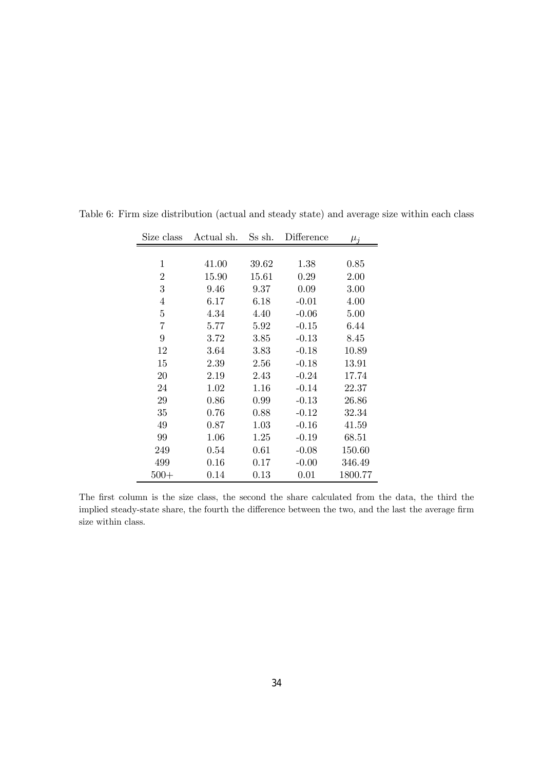| Size class     | Actual sh. | Ss sh. | Difference | $\mu_j$  |
|----------------|------------|--------|------------|----------|
|                |            |        |            |          |
| 1              | 41.00      | 39.62  | 1.38       | $0.85\,$ |
| $\overline{2}$ | 15.90      | 15.61  | 0.29       | 2.00     |
| 3              | 9.46       | 9.37   | 0.09       | 3.00     |
| $\overline{4}$ | 6.17       | 6.18   | $-0.01$    | 4.00     |
| 5              | 4.34       | 4.40   | $-0.06$    | 5.00     |
| 7              | 5.77       | 5.92   | $-0.15$    | 6.44     |
| 9              | 3.72       | 3.85   | $-0.13$    | 8.45     |
| 12             | 3.64       | 3.83   | $-0.18$    | 10.89    |
| 15             | 2.39       | 2.56   | $-0.18$    | 13.91    |
| 20             | 2.19       | 2.43   | $-0.24$    | 17.74    |
| 24             | 1.02       | 1.16   | $-0.14$    | 22.37    |
| 29             | 0.86       | 0.99   | $-0.13$    | 26.86    |
| 35             | 0.76       | 0.88   | $-0.12$    | 32.34    |
| 49             | 0.87       | 1.03   | $-0.16$    | 41.59    |
| 99             | 1.06       | 1.25   | $-0.19$    | 68.51    |
| 249            | 0.54       | 0.61   | $-0.08$    | 150.60   |
| 499            | $0.16\,$   | 0.17   | $-0.00$    | 346.49   |
| $500+$         | 0.14       | 0.13   | 0.01       | 1800.77  |

Table 6: Firm size distribution (actual and steady state) and average size within each class

The first column is the size class, the second the share calculated from the data, the third the implied steady-state share, the fourth the difference between the two, and the last the average firm size within class.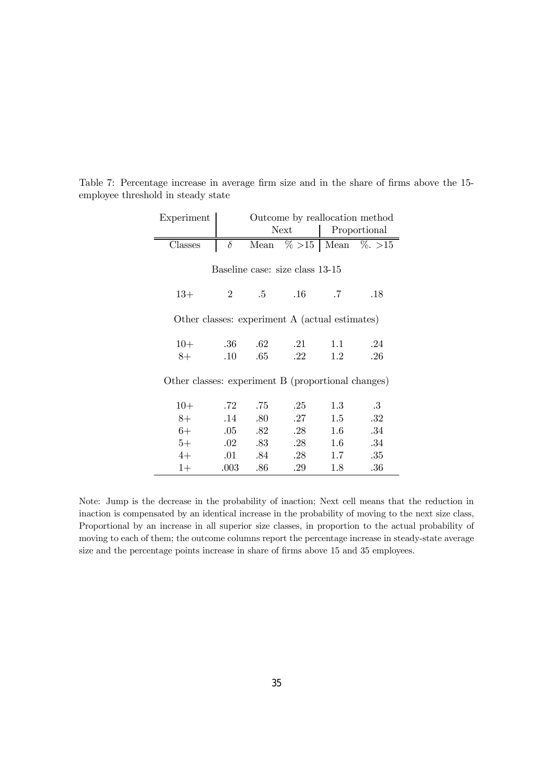| Experiment                                         |                |         |                                 |         | Outcome by reallocation method |  |
|----------------------------------------------------|----------------|---------|---------------------------------|---------|--------------------------------|--|
|                                                    |                |         | Next                            |         | Proportional                   |  |
| Classes                                            | $\delta$       |         |                                 |         | Mean $\% >15$ Mean $\% >15$    |  |
|                                                    |                |         |                                 |         |                                |  |
|                                                    |                |         | Baseline case: size class 13-15 |         |                                |  |
|                                                    |                |         |                                 |         |                                |  |
| $13+$                                              | $\overline{2}$ | .5      | $.16\,$                         | .7      | .18                            |  |
| Other classes: experiment A (actual estimates)     |                |         |                                 |         |                                |  |
|                                                    |                |         |                                 |         |                                |  |
| $10+$                                              | .36            | .62     | .21                             | 1.1     | .24                            |  |
| 8+                                                 | $.10\,$        | .65     | .22                             | 1.2     | .26                            |  |
|                                                    |                |         |                                 |         |                                |  |
| Other classes: experiment B (proportional changes) |                |         |                                 |         |                                |  |
| $10+$                                              | .72            | .75     | .25                             | 1.3     | .3                             |  |
| 8+                                                 | .14            | .80     | .27                             | 1.5     | .32                            |  |
| $6+$                                               | $.05\,$        | .82     | .28                             | $1.6\,$ | .34                            |  |
| $5+$                                               | $.02\,$        | $.83\,$ | .28                             | 1.6     | .34                            |  |
| $4+$                                               | .01            | .84     | .28                             | $1.7\,$ | .35                            |  |
| $1+$                                               | .003           | .86     | .29                             | 1.8     | .36                            |  |

Table 7: Percentage increase in average firm size and in the share of firms above the 15 employee threshold in steady state

Note: Jump is the decrease in the probability of inaction; Next cell means that the reduction in inaction is compensated by an identical increase in the probability of moving to the next size class, Proportional by an increase in all superior size classes, in proportion to the actual probability of moving to each of them; the outcome columns report the percentage increase in steady-state average size and the percentage points increase in share of firms above 15 and 35 employees.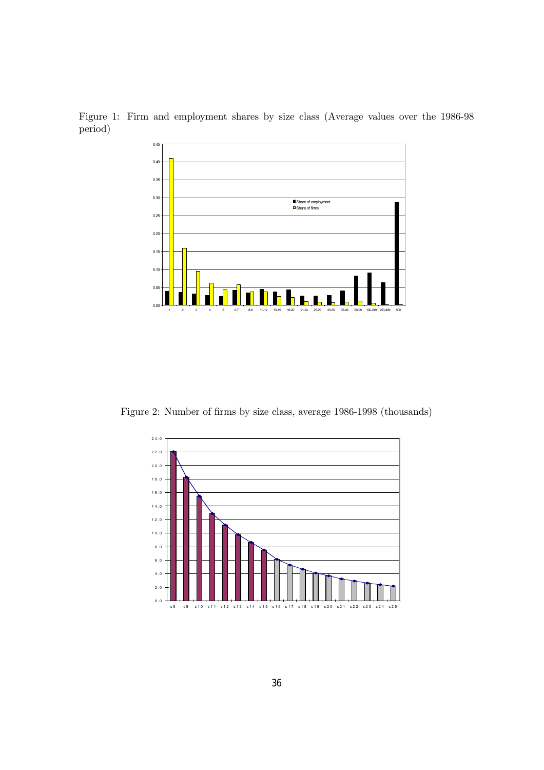Figure 1: Firm and employment shares by size class (Average values over the 1986-98 period)



Figure 2: Number of firms by size class, average 1986-1998 (thousands)

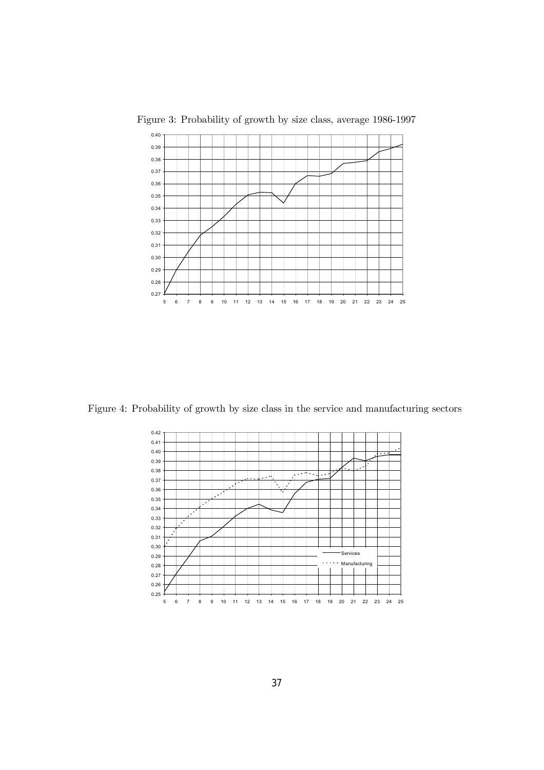

Figure 3: Probability of growth by size class, average 1986-1997

Figure 4: Probability of growth by size class in the service and manufacturing sectors

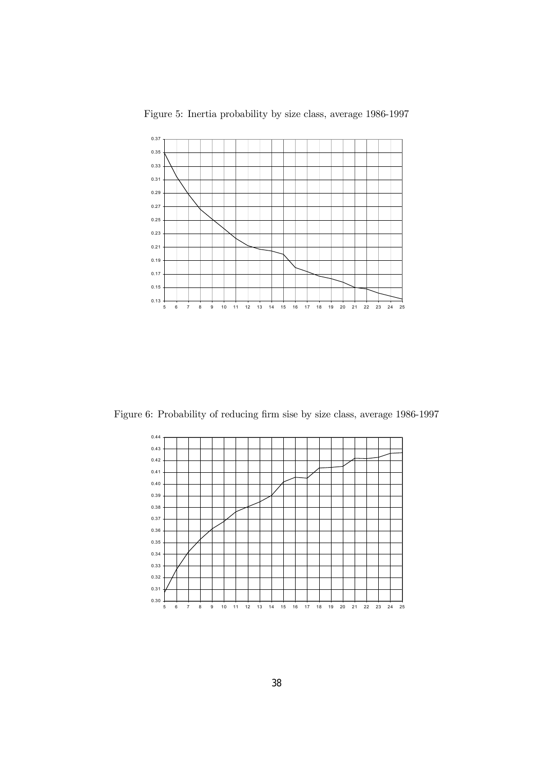

Figure 5: Inertia probability by size class, average 1986-1997

Figure 6: Probability of reducing firm sise by size class, average 1986-1997

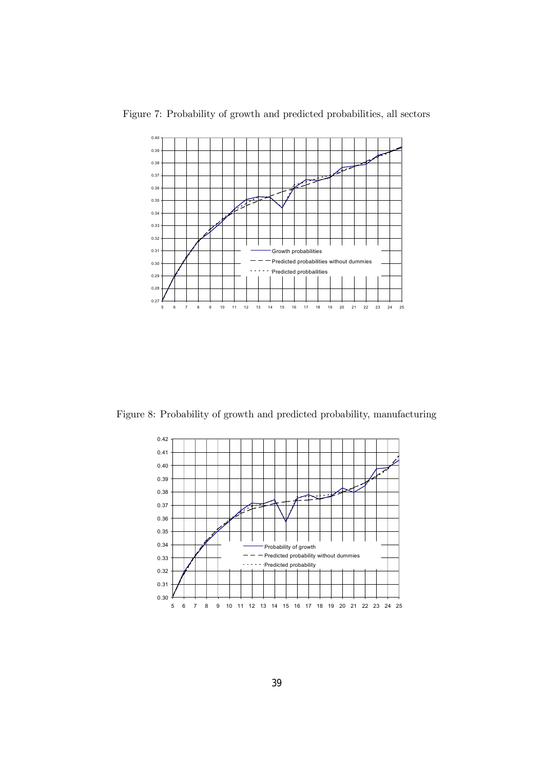

Figure 7: Probability of growth and predicted probabilities, all sectors

Figure 8: Probability of growth and predicted probability, manufacturing

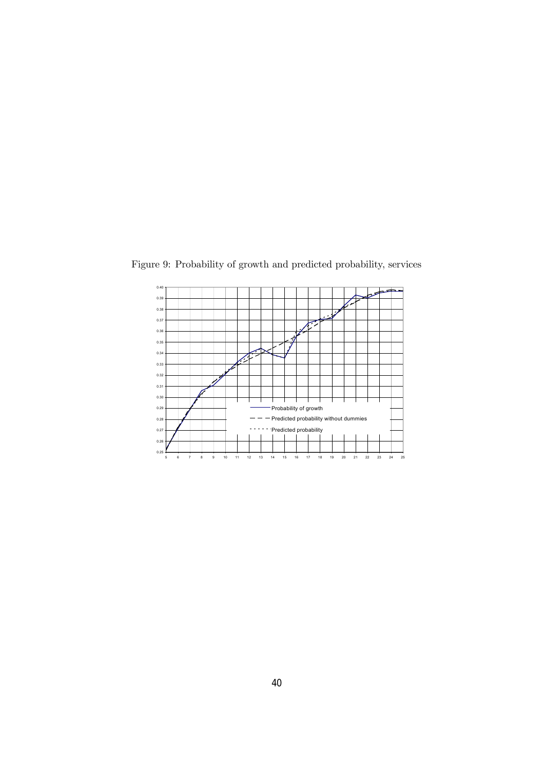

Figure 9: Probability of growth and predicted probability, services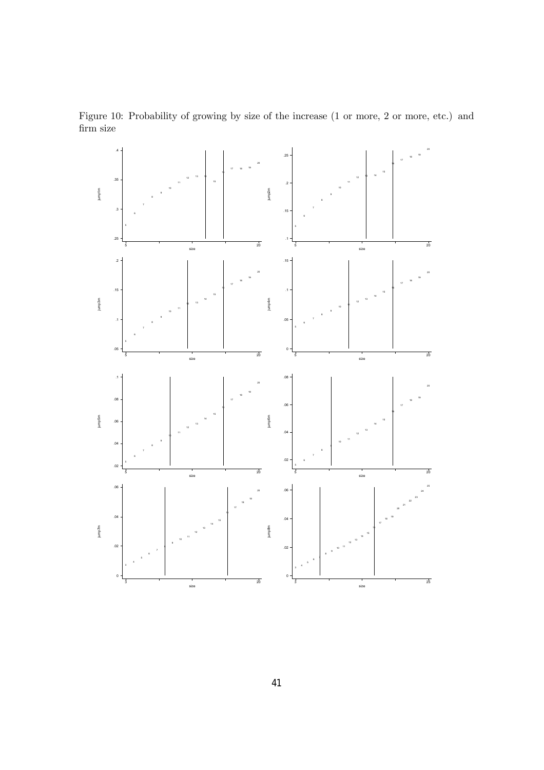

Figure 10: Probability of growing by size of the increase (1 or more, 2 or more, etc.) and firm size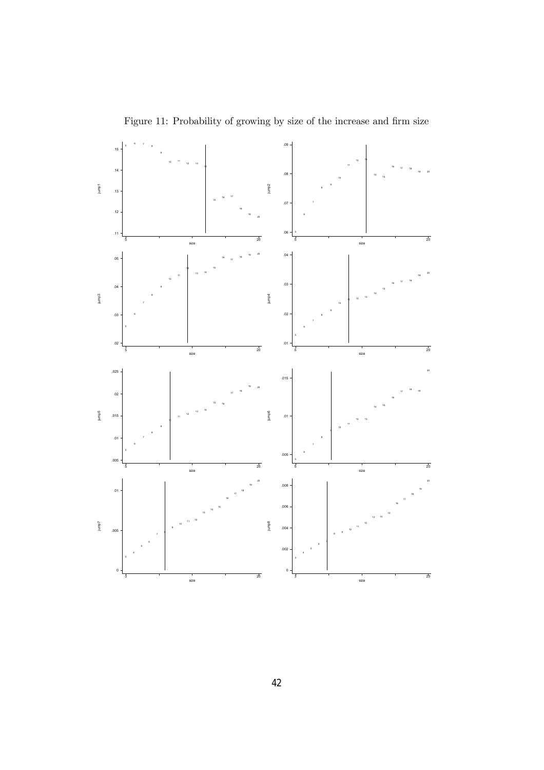

Figure 11: Probability of growing by size of the increase and firm size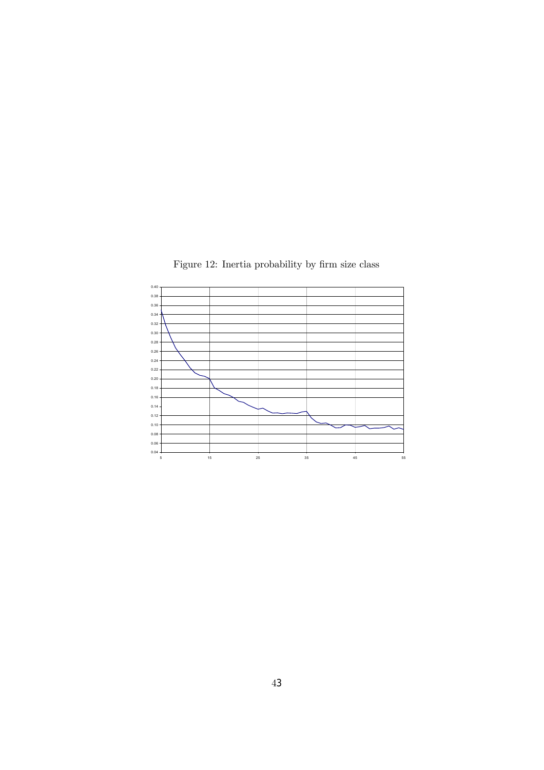Figure 12: Inertia probability by firm size class

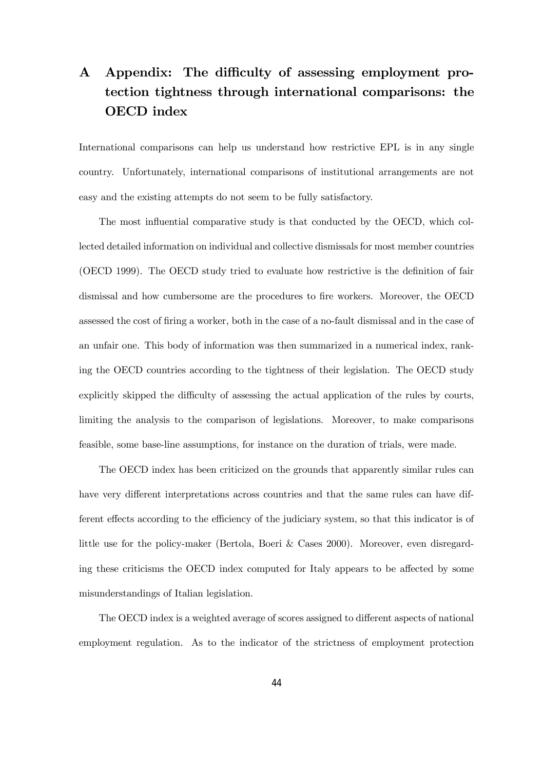## A Appendix: The difficulty of assessing employment protection tightness through international comparisons: the OECD index

International comparisons can help us understand how restrictive EPL is in any single country. Unfortunately, international comparisons of institutional arrangements are not easy and the existing attempts do not seem to be fully satisfactory.

The most influential comparative study is that conducted by the OECD, which collected detailed information on individual and collective dismissals for most member countries (OECD 1999). The OECD study tried to evaluate how restrictive is the definition of fair dismissal and how cumbersome are the procedures to fire workers. Moreover, the OECD assessed the cost of firing a worker, both in the case of a no-fault dismissal and in the case of an unfair one. This body of information was then summarized in a numerical index, ranking the OECD countries according to the tightness of their legislation. The OECD study explicitly skipped the difficulty of assessing the actual application of the rules by courts, limiting the analysis to the comparison of legislations. Moreover, to make comparisons feasible, some base-line assumptions, for instance on the duration of trials, were made.

The OECD index has been criticized on the grounds that apparently similar rules can have very different interpretations across countries and that the same rules can have different effects according to the efficiency of the judiciary system, so that this indicator is of little use for the policy-maker (Bertola, Boeri & Cases 2000). Moreover, even disregarding these criticisms the OECD index computed for Italy appears to be affected by some misunderstandings of Italian legislation.

The OECD index is a weighted average of scores assigned to different aspects of national employment regulation. As to the indicator of the strictness of employment protection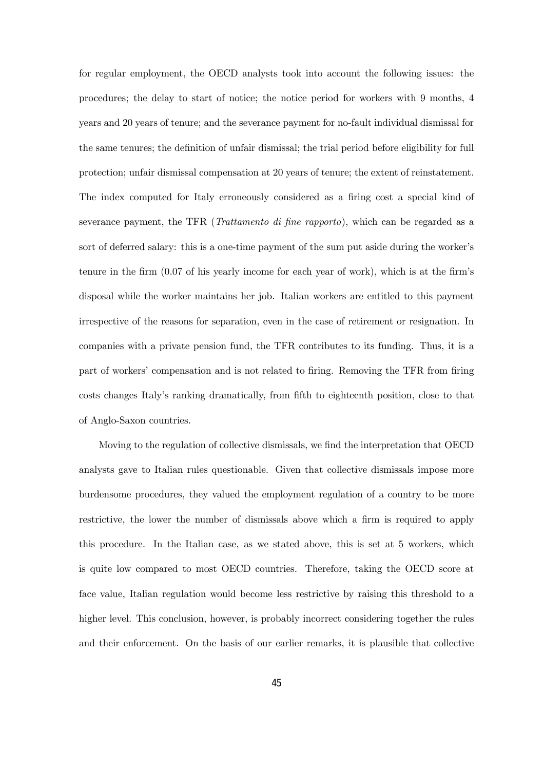for regular employment, the OECD analysts took into account the following issues: the procedures; the delay to start of notice; the notice period for workers with 9 months, 4 years and 20 years of tenure; and the severance payment for no-fault individual dismissal for the same tenures; the definition of unfair dismissal; the trial period before eligibility for full protection; unfair dismissal compensation at 20 years of tenure; the extent of reinstatement. The index computed for Italy erroneously considered as a firing cost a special kind of severance payment, the TFR (Trattamento di fine rapporto), which can be regarded as a sort of deferred salary: this is a one-time payment of the sum put aside during the worker's tenure in the firm (0.07 of his yearly income for each year of work), which is at the firm's disposal while the worker maintains her job. Italian workers are entitled to this payment irrespective of the reasons for separation, even in the case of retirement or resignation. In companies with a private pension fund, the TFR contributes to its funding. Thus, it is a part of workers' compensation and is not related to firing. Removing the TFR from firing costs changes Italy's ranking dramatically, from fifth to eighteenth position, close to that of Anglo-Saxon countries.

Moving to the regulation of collective dismissals, we find the interpretation that OECD analysts gave to Italian rules questionable. Given that collective dismissals impose more burdensome procedures, they valued the employment regulation of a country to be more restrictive, the lower the number of dismissals above which a firm is required to apply this procedure. In the Italian case, as we stated above, this is set at 5 workers, which is quite low compared to most OECD countries. Therefore, taking the OECD score at face value, Italian regulation would become less restrictive by raising this threshold to a higher level. This conclusion, however, is probably incorrect considering together the rules and their enforcement. On the basis of our earlier remarks, it is plausible that collective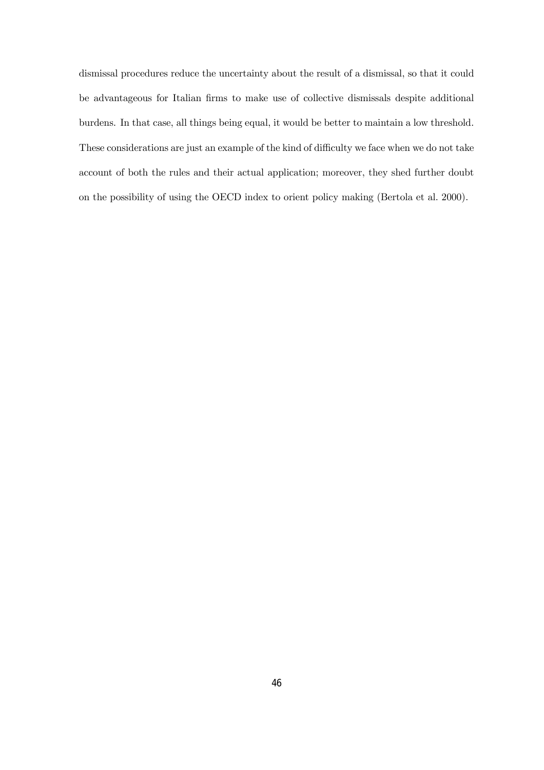dismissal procedures reduce the uncertainty about the result of a dismissal, so that it could be advantageous for Italian firms to make use of collective dismissals despite additional burdens. In that case, all things being equal, it would be better to maintain a low threshold. These considerations are just an example of the kind of difficulty we face when we do not take account of both the rules and their actual application; moreover, they shed further doubt on the possibility of using the OECD index to orient policy making (Bertola et al. 2000).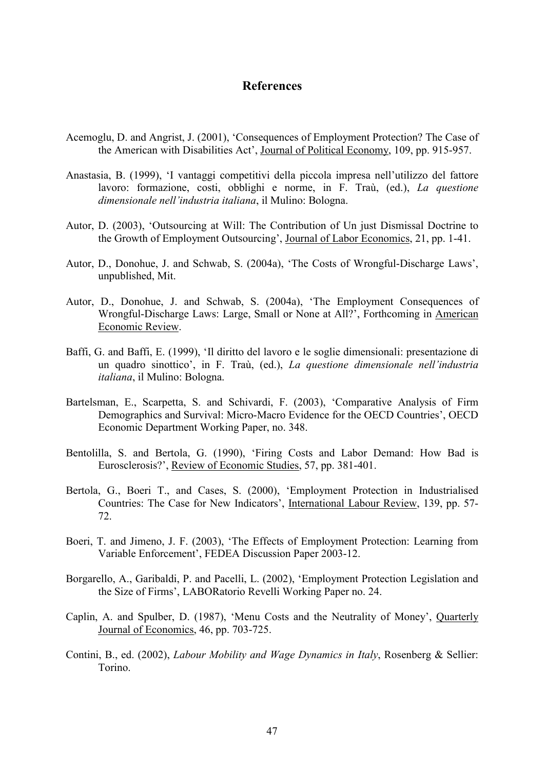### **References**

- Acemoglu, D. and Angrist, J. (2001), 'Consequences of Employment Protection? The Case of the American with Disabilities Act', Journal of Political Economy, 109, pp. 915-957.
- Anastasia, B. (1999), 'I vantaggi competitivi della piccola impresa nell'utilizzo del fattore lavoro: formazione, costi, obblighi e norme, in F. Traù, (ed.), *La questione dimensionale nell'industria italiana*, il Mulino: Bologna.
- Autor, D. (2003), 'Outsourcing at Will: The Contribution of Un just Dismissal Doctrine to the Growth of Employment Outsourcing', Journal of Labor Economics, 21, pp. 1-41.
- Autor, D., Donohue, J. and Schwab, S. (2004a), 'The Costs of Wrongful-Discharge Laws', unpublished, Mit.
- Autor, D., Donohue, J. and Schwab, S. (2004a), 'The Employment Consequences of Wrongful-Discharge Laws: Large, Small or None at All?', Forthcoming in American Economic Review.
- Baffi, G. and Baffi, E. (1999), 'Il diritto del lavoro e le soglie dimensionali: presentazione di un quadro sinottico', in F. Traù, (ed.), *La questione dimensionale nell'industria italiana*, il Mulino: Bologna.
- Bartelsman, E., Scarpetta, S. and Schivardi, F. (2003), 'Comparative Analysis of Firm Demographics and Survival: Micro-Macro Evidence for the OECD Countries', OECD Economic Department Working Paper, no. 348.
- Bentolilla, S. and Bertola, G. (1990), 'Firing Costs and Labor Demand: How Bad is Eurosclerosis?', Review of Economic Studies, 57, pp. 381-401.
- Bertola, G., Boeri T., and Cases, S. (2000), 'Employment Protection in Industrialised Countries: The Case for New Indicators', International Labour Review, 139, pp. 57- 72.
- Boeri, T. and Jimeno, J. F. (2003), 'The Effects of Employment Protection: Learning from Variable Enforcement', FEDEA Discussion Paper 2003-12.
- Borgarello, A., Garibaldi, P. and Pacelli, L. (2002), 'Employment Protection Legislation and the Size of Firms', LABORatorio Revelli Working Paper no. 24.
- Caplin, A. and Spulber, D. (1987), 'Menu Costs and the Neutrality of Money', Quarterly Journal of Economics, 46, pp. 703-725.
- Contini, B., ed. (2002), *Labour Mobility and Wage Dynamics in Italy*, Rosenberg & Sellier: Torino.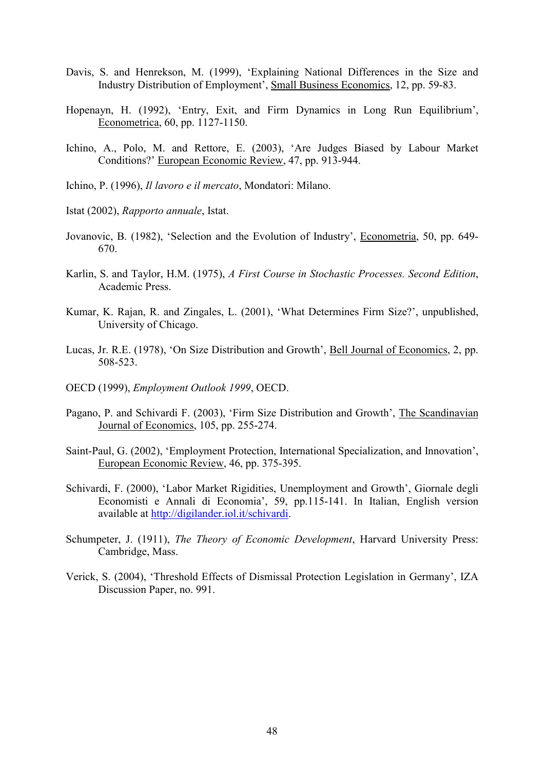- Davis, S. and Henrekson, M. (1999), 'Explaining National Differences in the Size and Industry Distribution of Employment', Small Business Economics, 12, pp. 59-83.
- Hopenayn, H. (1992), 'Entry, Exit, and Firm Dynamics in Long Run Equilibrium', Econometrica, 60, pp. 1127-1150.
- Ichino, A., Polo, M. and Rettore, E. (2003), 'Are Judges Biased by Labour Market Conditions?' European Economic Review, 47, pp. 913-944.
- Ichino, P. (1996), *Il lavoro e il mercato*, Mondatori: Milano.
- Istat (2002), *Rapporto annuale*, Istat.
- Jovanovic, B. (1982), 'Selection and the Evolution of Industry', Econometria, 50, pp. 649- 670.
- Karlin, S. and Taylor, H.M. (1975), *A First Course in Stochastic Processes. Second Edition*, Academic Press.
- Kumar, K. Rajan, R. and Zingales, L. (2001), 'What Determines Firm Size?', unpublished, University of Chicago.
- Lucas, Jr. R.E. (1978), 'On Size Distribution and Growth', Bell Journal of Economics, 2, pp. 508-523.
- OECD (1999), *Employment Outlook 1999*, OECD.
- Pagano, P. and Schivardi F. (2003), 'Firm Size Distribution and Growth', The Scandinavian Journal of Economics, 105, pp. 255-274.
- Saint-Paul, G. (2002), 'Employment Protection, International Specialization, and Innovation', European Economic Review, 46, pp. 375-395.
- Schivardi, F. (2000), 'Labor Market Rigidities, Unemployment and Growth', Giornale degli Economisti e Annali di Economia', 59, pp.115-141. In Italian, English version available at http://digilander.iol.it/schivardi.
- Schumpeter, J. (1911), *The Theory of Economic Development*, Harvard University Press: Cambridge, Mass.
- Verick, S. (2004), 'Threshold Effects of Dismissal Protection Legislation in Germany', IZA Discussion Paper, no. 991.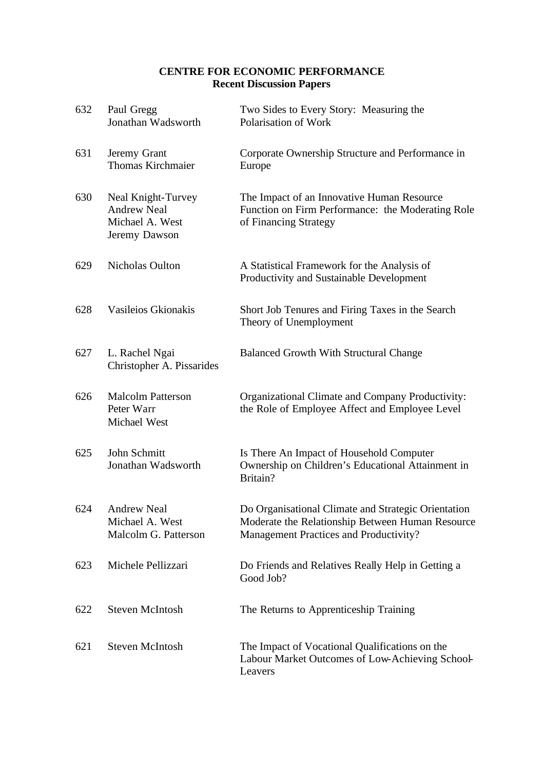## **CENTRE FOR ECONOMIC PERFORMANCE Recent Discussion Papers**

| 632 | Paul Gregg<br>Jonathan Wadsworth                                             | Two Sides to Every Story: Measuring the<br>Polarisation of Work                                                                                   |
|-----|------------------------------------------------------------------------------|---------------------------------------------------------------------------------------------------------------------------------------------------|
| 631 | Jeremy Grant<br><b>Thomas Kirchmaier</b>                                     | Corporate Ownership Structure and Performance in<br>Europe                                                                                        |
| 630 | Neal Knight-Turvey<br><b>Andrew Neal</b><br>Michael A. West<br>Jeremy Dawson | The Impact of an Innovative Human Resource<br>Function on Firm Performance: the Moderating Role<br>of Financing Strategy                          |
| 629 | Nicholas Oulton                                                              | A Statistical Framework for the Analysis of<br>Productivity and Sustainable Development                                                           |
| 628 | Vasileios Gkionakis                                                          | Short Job Tenures and Firing Taxes in the Search<br>Theory of Unemployment                                                                        |
| 627 | L. Rachel Ngai<br>Christopher A. Pissarides                                  | <b>Balanced Growth With Structural Change</b>                                                                                                     |
| 626 | <b>Malcolm Patterson</b><br>Peter Warr<br>Michael West                       | Organizational Climate and Company Productivity:<br>the Role of Employee Affect and Employee Level                                                |
| 625 | John Schmitt<br>Jonathan Wadsworth                                           | Is There An Impact of Household Computer<br>Ownership on Children's Educational Attainment in<br>Britain?                                         |
| 624 | Andrew Neal<br>Michael A. West<br>Malcolm G. Patterson                       | Do Organisational Climate and Strategic Orientation<br>Moderate the Relationship Between Human Resource<br>Management Practices and Productivity? |
| 623 | Michele Pellizzari                                                           | Do Friends and Relatives Really Help in Getting a<br>Good Job?                                                                                    |
| 622 | <b>Steven McIntosh</b>                                                       | The Returns to Apprenticeship Training                                                                                                            |
| 621 | <b>Steven McIntosh</b>                                                       | The Impact of Vocational Qualifications on the<br>Labour Market Outcomes of Low-Achieving School-<br>Leavers                                      |